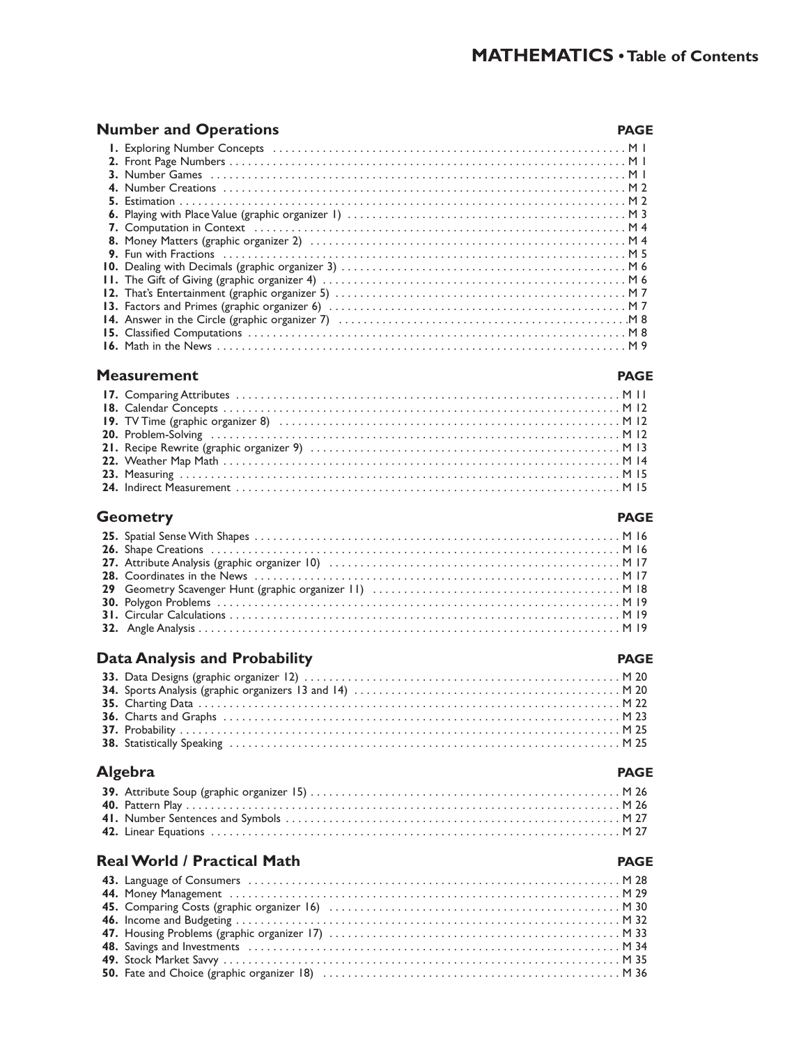#### **Number and Operations PAGE**

#### **Measurement PAGE**

#### **17.** Comparing Attributes . . . . . . . . . . . . . . . . . . . . . . . . . . . . . . . . . . . . . . . . . . . . . . . . . . . . . . . . . . . . . . M 11 **18.** Calendar Concepts . . . . . . . . . . . . . . . . . . . . . . . . . . . . . . . . . . . . . . . . . . . . . . . . . . . . . . . . . . . . . . . . M 12 **19.** TV Time (graphic organizer 8) . . . . . . . . . . . . . . . . . . . . . . . . . . . . . . . . . . . . . . . . . . . . . . . . . . . . . . . M 12 **20.** Problem-Solving . . . . . . . . . . . . . . . . . . . . . . . . . . . . . . . . . . . . . . . . . . . . . . . . . . . . . . . . . . . . . . . . . . M 12 **21.** Recipe Rewrite (graphic organizer 9) . . . . . . . . . . . . . . . . . . . . . . . . . . . . . . . . . . . . . . . . . . . . . . . . . . M 13 **22.** Weather Map Math . . . . . . . . . . . . . . . . . . . . . . . . . . . . . . . . . . . . . . . . . . . . . . . . . . . . . . . . . . . . . . . . M 14 **23.** Measuring . . . . . . . . . . . . . . . . . . . . . . . . . . . . . . . . . . . . . . . . . . . . . . . . . . . . . . . . . . . . . . . . . . . . . . . M 15 **24.** Indirect Measurement . . . . . . . . . . . . . . . . . . . . . . . . . . . . . . . . . . . . . . . . . . . . . . . . . . . . . . . . . . . . . . M 15

#### **Geometry PAGE**

#### **Data Analysis and Probability PAGE**

#### **Algebra PAGE**

#### **Real World / Practical Math PAGE**

#### **43.** Language of Consumers . . . . . . . . . . . . . . . . . . . . . . . . . . . . . . . . . . . . . . . . . . . . . . . . . . . . . . . . . . . . M 28 **44.** Money Management . . . . . . . . . . . . . . . . . . . . . . . . . . . . . . . . . . . . . . . . . . . . . . . . . . . . . . . . . . . . . . . M 29 **45.** Comparing Costs (graphic organizer 16) . . . . . . . . . . . . . . . . . . . . . . . . . . . . . . . . . . . . . . . . . . . . . . . M 30 **46.** Income and Budgeting . . . . . . . . . . . . . . . . . . . . . . . . . . . . . . . . . . . . . . . . . . . . . . . . . . . . . . . . . . . . . . M 32 **47.** Housing Problems (graphic organizer 17) . . . . . . . . . . . . . . . . . . . . . . . . . . . . . . . . . . . . . . . . . . . . . . . M 33 **48.** Savings and Investments . . . . . . . . . . . . . . . . . . . . . . . . . . . . . . . . . . . . . . . . . . . . . . . . . . . . . . . . . . . . M 34 **49.** Stock Market Savvy . . . . . . . . . . . . . . . . . . . . . . . . . . . . . . . . . . . . . . . . . . . . . . . . . . . . . . . . . . . . . . . . M 35 **50.** Fate and Choice (graphic organizer 18) . . . . . . . . . . . . . . . . . . . . . . . . . . . . . . . . . . . . . . . . . . . . . . . . M 36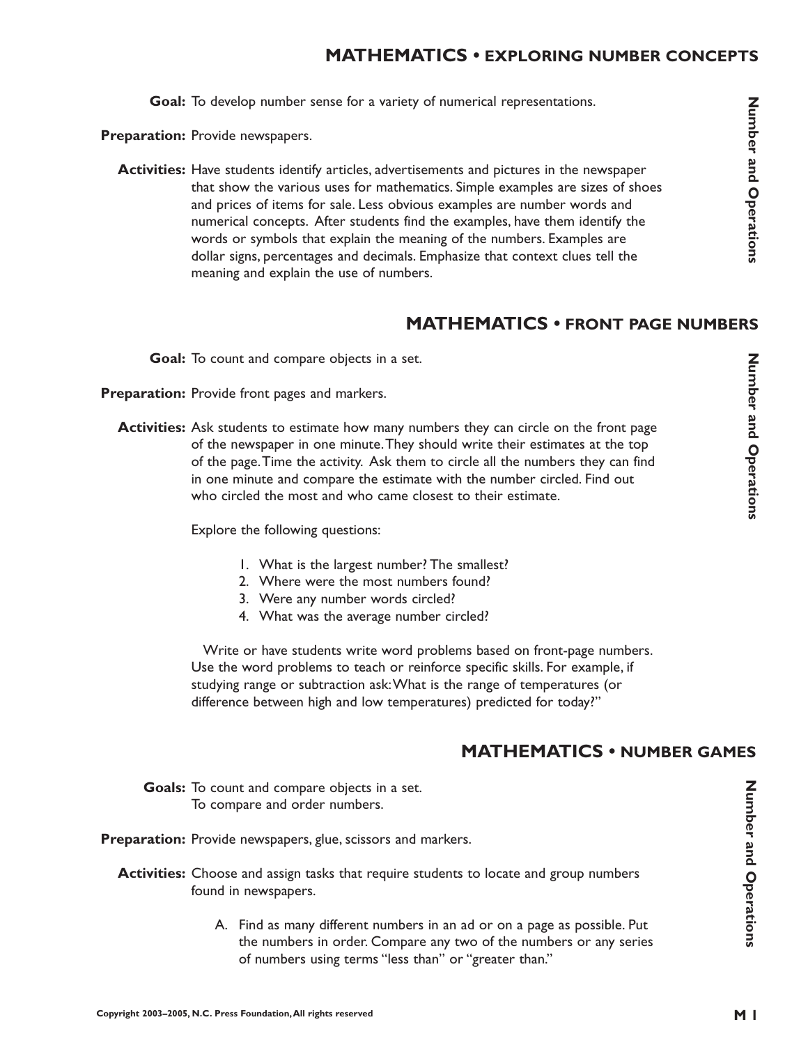Goal: To develop number sense for a variety of numerical representations.

Preparation: Provide newspapers.

**Activities:** Have students identify articles, advertisements and pictures in the newspaper that show the various uses for mathematics. Simple examples are sizes of shoes and prices of items for sale. Less obvious examples are number words and numerical concepts. After students find the examples, have them identify the words or symbols that explain the meaning of the numbers. Examples are dollar signs, percentages and decimals. Emphasize that context clues tell the meaning and explain the use of numbers.

#### **MATHEMATICS • FRONT PAGE NUMBERS**

Goal: To count and compare objects in a set.

Preparation: Provide front pages and markers.

**Activities:** Ask students to estimate how many numbers they can circle on the front page of the newspaper in one minute.They should write their estimates at the top of the page.Time the activity. Ask them to circle all the numbers they can find in one minute and compare the estimate with the number circled. Find out who circled the most and who came closest to their estimate.

Explore the following questions:

- 1. What is the largest number? The smallest?
- 2. Where were the most numbers found?
- 3. Were any number words circled?
- 4. What was the average number circled?

Write or have students write word problems based on front-page numbers. Use the word problems to teach or reinforce specific skills. For example, if studying range or subtraction ask:What is the range of temperatures (or difference between high and low temperatures) predicted for today?"

## **MATHEMATICS • NUMBER GAMES**

Goals: To count and compare objects in a set. To compare and order numbers.

Preparation: Provide newspapers, glue, scissors and markers.

- Activities: Choose and assign tasks that require students to locate and group numbers found in newspapers.
	- A. Find as many different numbers in an ad or on a page as possible. Put the numbers in order. Compare any two of the numbers or any series of numbers using terms "less than" or "greater than."

**Number and Operations**

Number and Operations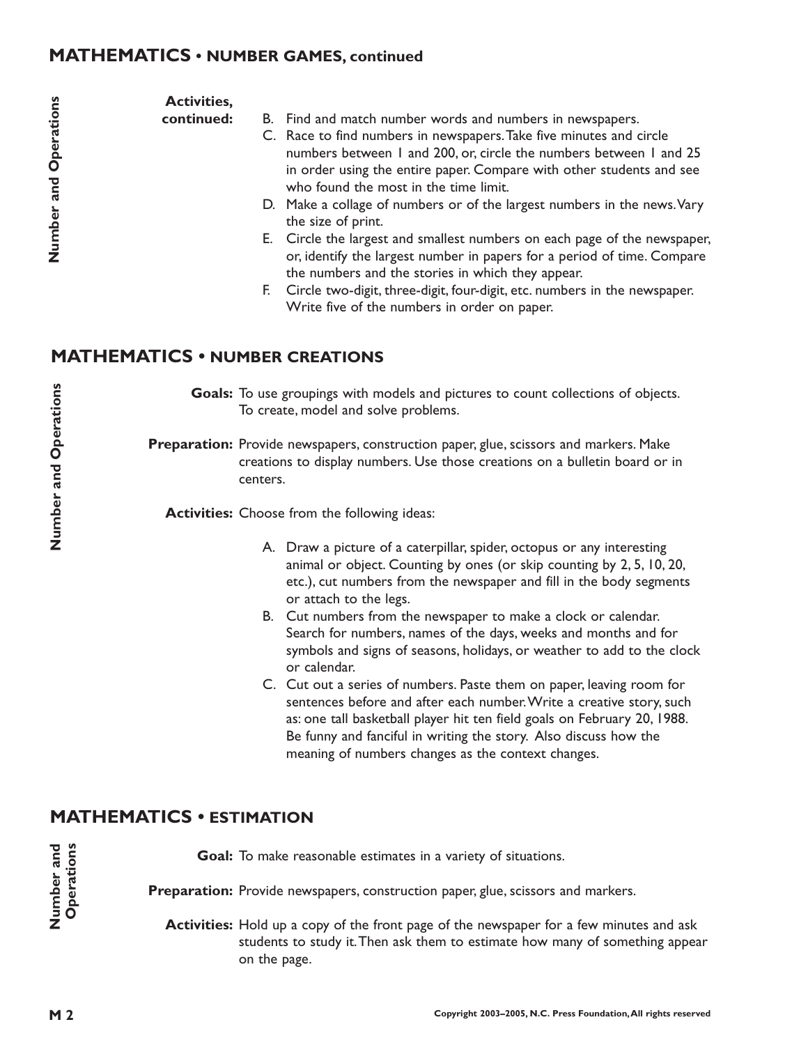#### **MATHEMATICS • NUMBER GAMES, continued**

#### **Activities,**

**continued:**

- B. Find and match number words and numbers in newspapers.
- C. Race to find numbers in newspapers.Take five minutes and circle numbers between 1 and 200, or, circle the numbers between 1 and 25 in order using the entire paper. Compare with other students and see who found the most in the time limit.
- D. Make a collage of numbers or of the largest numbers in the news.Vary the size of print.
- E. Circle the largest and smallest numbers on each page of the newspaper, or, identify the largest number in papers for a period of time. Compare the numbers and the stories in which they appear.
- F. Circle two-digit, three-digit, four-digit, etc. numbers in the newspaper. Write five of the numbers in order on paper.

## **MATHEMATICS • NUMBER CREATIONS**

Goals: To use groupings with models and pictures to count collections of objects. To create, model and solve problems.

Preparation: Provide newspapers, construction paper, glue, scissors and markers. Make creations to display numbers. Use those creations on a bulletin board or in centers.

Activities: Choose from the following ideas:

- A. Draw a picture of a caterpillar, spider, octopus or any interesting animal or object. Counting by ones (or skip counting by 2, 5, 10, 20, etc.), cut numbers from the newspaper and fill in the body segments or attach to the legs.
- B. Cut numbers from the newspaper to make a clock or calendar. Search for numbers, names of the days, weeks and months and for symbols and signs of seasons, holidays, or weather to add to the clock or calendar.
- C. Cut out a series of numbers. Paste them on paper, leaving room for sentences before and after each number.Write a creative story, such as: one tall basketball player hit ten field goals on February 20, 1988. Be funny and fanciful in writing the story. Also discuss how the meaning of numbers changes as the context changes.

## **MATHEMATICS • ESTIMATION**

Goal: To make reasonable estimates in a variety of situations. Preparation: Provide newspapers, construction paper, glue, scissors and markers. Activities: Hold up a copy of the front page of the newspaper for a few minutes and ask

students to study it.Then ask them to estimate how many of something appear on the page.

**Number and Operations**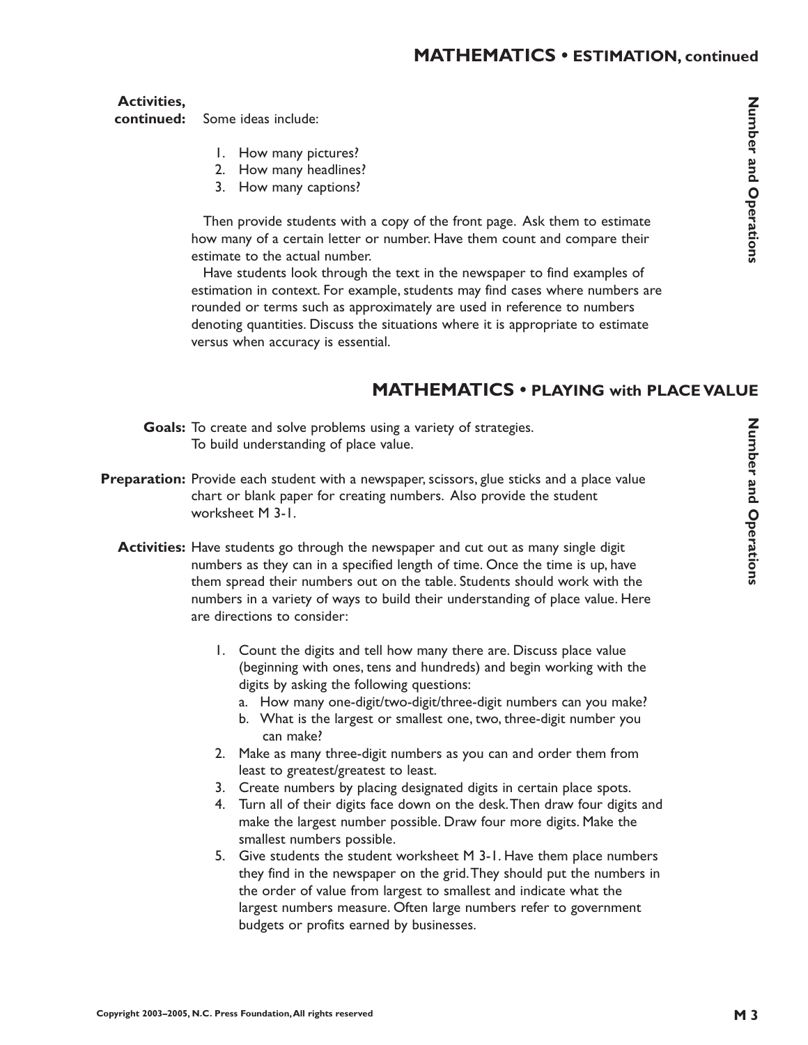**Activities,**

Some ideas include: **continued:**

- 1. How many pictures?
- 2. How many headlines?
- 3. How many captions?

Then provide students with a copy of the front page. Ask them to estimate how many of a certain letter or number. Have them count and compare their estimate to the actual number.

Have students look through the text in the newspaper to find examples of estimation in context. For example, students may find cases where numbers are rounded or terms such as approximately are used in reference to numbers denoting quantities. Discuss the situations where it is appropriate to estimate versus when accuracy is essential.

# **MATHEMATICS • PLAYING with PLACE VALUE**

- Goals: To create and solve problems using a variety of strategies. To build understanding of place value.
- **Preparation:** Provide each student with a newspaper, scissors, glue sticks and a place value chart or blank paper for creating numbers. Also provide the student worksheet M 3-1.
	- **Activities:** Have students go through the newspaper and cut out as many single digit numbers as they can in a specified length of time. Once the time is up, have them spread their numbers out on the table. Students should work with the numbers in a variety of ways to build their understanding of place value. Here are directions to consider:
		- 1. Count the digits and tell how many there are. Discuss place value (beginning with ones, tens and hundreds) and begin working with the digits by asking the following questions:
			- a. How many one-digit/two-digit/three-digit numbers can you make?
			- b. What is the largest or smallest one, two, three-digit number you can make?
		- 2. Make as many three-digit numbers as you can and order them from least to greatest/greatest to least.
		- 3. Create numbers by placing designated digits in certain place spots.
		- 4. Turn all of their digits face down on the desk.Then draw four digits and make the largest number possible. Draw four more digits. Make the smallest numbers possible.
		- 5. Give students the student worksheet M 3-1. Have them place numbers they find in the newspaper on the grid.They should put the numbers in the order of value from largest to smallest and indicate what the largest numbers measure. Often large numbers refer to government budgets or profits earned by businesses.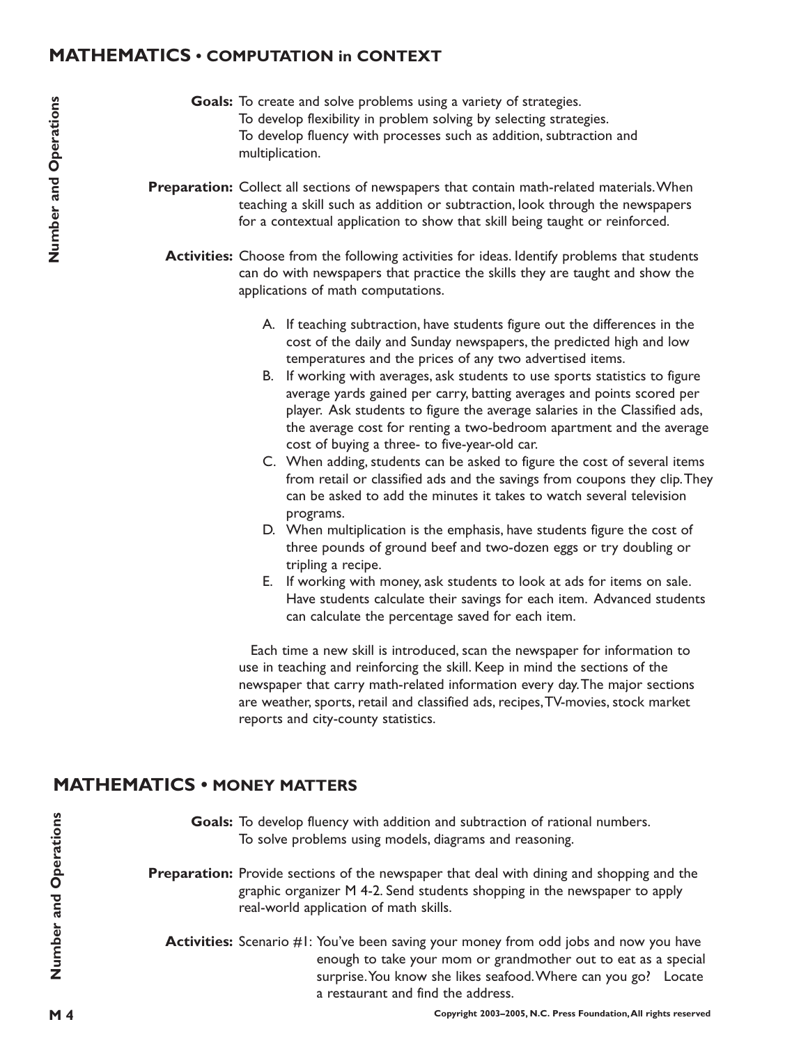## **MATHEMATICS • COMPUTATION in CONTEXT**

- Goals: To create and solve problems using a variety of strategies. To develop flexibility in problem solving by selecting strategies. To develop fluency with processes such as addition, subtraction and multiplication.
- **Preparation:** Collect all sections of newspapers that contain math-related materials. When teaching a skill such as addition or subtraction, look through the newspapers for a contextual application to show that skill being taught or reinforced.
	- Activities: Choose from the following activities for ideas. Identify problems that students can do with newspapers that practice the skills they are taught and show the applications of math computations.
		- A. If teaching subtraction, have students figure out the differences in the cost of the daily and Sunday newspapers, the predicted high and low temperatures and the prices of any two advertised items.
		- B. If working with averages, ask students to use sports statistics to figure average yards gained per carry, batting averages and points scored per player. Ask students to figure the average salaries in the Classified ads, the average cost for renting a two-bedroom apartment and the average cost of buying a three- to five-year-old car.
		- C. When adding, students can be asked to figure the cost of several items from retail or classified ads and the savings from coupons they clip.They can be asked to add the minutes it takes to watch several television programs.
		- D. When multiplication is the emphasis, have students figure the cost of three pounds of ground beef and two-dozen eggs or try doubling or tripling a recipe.
		- E. If working with money, ask students to look at ads for items on sale. Have students calculate their savings for each item. Advanced students can calculate the percentage saved for each item.

Each time a new skill is introduced, scan the newspaper for information to use in teaching and reinforcing the skill. Keep in mind the sections of the newspaper that carry math-related information every day.The major sections are weather, sports, retail and classified ads, recipes,TV-movies, stock market reports and city-county statistics.

## **MATHEMATICS • MONEY MATTERS**

- Goals: To develop fluency with addition and subtraction of rational numbers. To solve problems using models, diagrams and reasoning.
- Preparation: Provide sections of the newspaper that deal with dining and shopping and the graphic organizer M 4-2. Send students shopping in the newspaper to apply real-world application of math skills.
	- **Activities:** Scenario #1: You've been saving your money from odd jobs and now you have enough to take your mom or grandmother out to eat as a special surprise. You know she likes seafood. Where can you go? Locate a restaurant and find the address.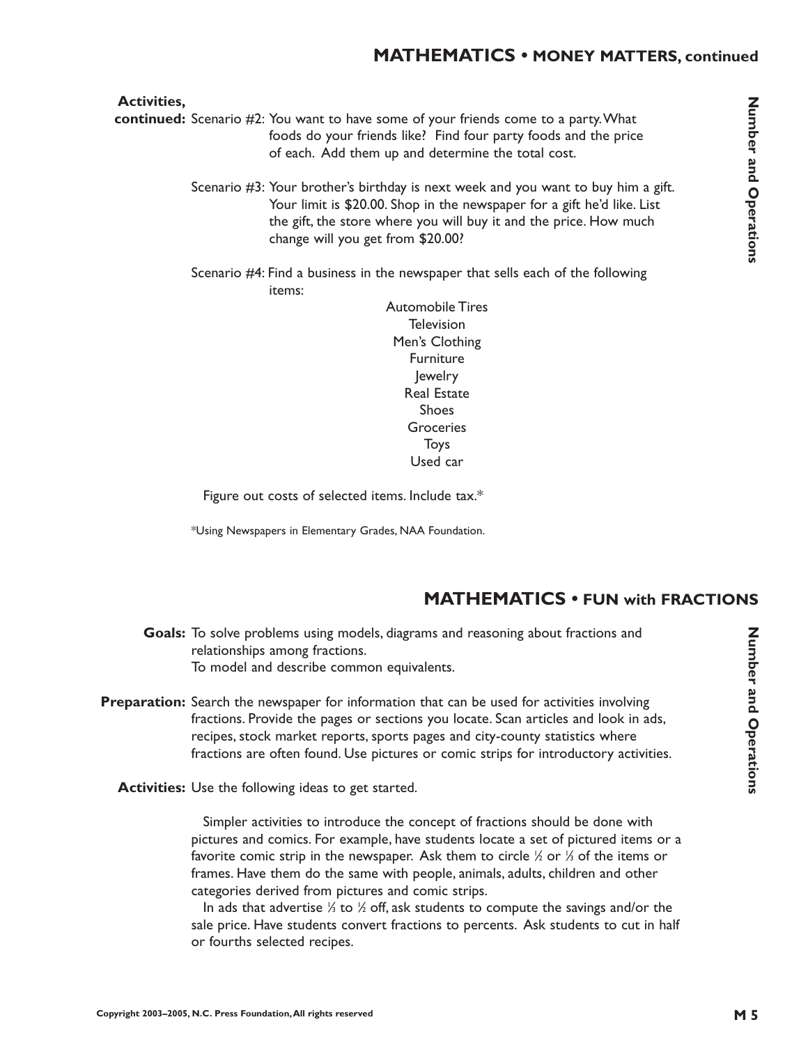#### **Activities,**

- continued: Scenario #2: You want to have some of your friends come to a party. What foods do your friends like? Find four party foods and the price of each. Add them up and determine the total cost.
	- Scenario #3: Your brother's birthday is next week and you want to buy him a gift. Your limit is \$20.00. Shop in the newspaper for a gift he'd like. List the gift, the store where you will buy it and the price. How much change will you get from \$20.00?
	- Scenario #4: Find a business in the newspaper that sells each of the following items:

Automobile Tires **Television** Men's Clothing Furniture Jewelry Real Estate Shoes Groceries Toys Used car

Figure out costs of selected items. Include tax.\*

\*Using Newspapers in Elementary Grades, NAA Foundation.

## **MATHEMATICS • FUN with FRACTIONS**

- Goals: To solve problems using models, diagrams and reasoning about fractions and relationships among fractions. To model and describe common equivalents.
- **Preparation:** Search the newspaper for information that can be used for activities involving fractions. Provide the pages or sections you locate. Scan articles and look in ads, recipes, stock market reports, sports pages and city-county statistics where fractions are often found. Use pictures or comic strips for introductory activities.
	- **Activities:** Use the following ideas to get started.

Simpler activities to introduce the concept of fractions should be done with pictures and comics. For example, have students locate a set of pictured items or a favorite comic strip in the newspaper. Ask them to circle  $\%$  or  $\%$  of the items or frames. Have them do the same with people, animals, adults, children and other categories derived from pictures and comic strips.

In ads that advertise  $\%$  to  $\%$  off, ask students to compute the savings and/or the sale price. Have students convert fractions to percents. Ask students to cut in half or fourths selected recipes.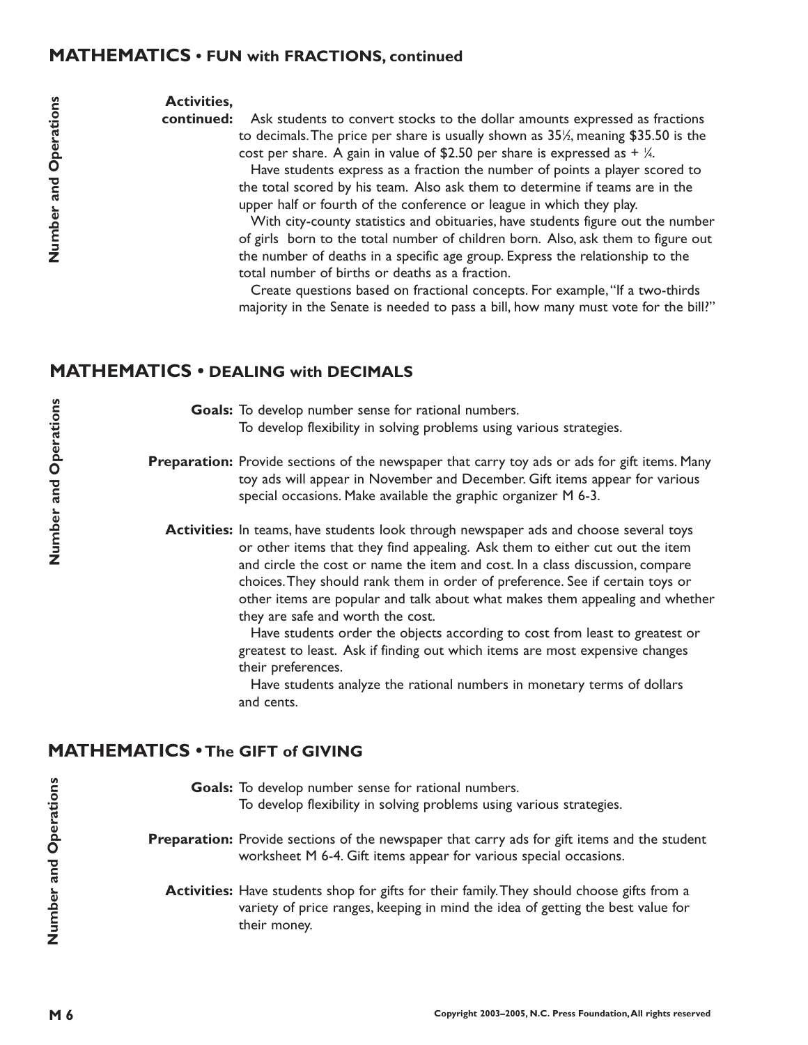#### **MATHEMATICS • FUN with FRACTIONS, continued**

#### **Activities,**

continued: Ask students to convert stocks to the dollar amounts expressed as fractions to decimals.The price per share is usually shown as 35½, meaning \$35.50 is the cost per share. A gain in value of \$2.50 per share is expressed as +  $\%$ . Have students express as a fraction the number of points a player scored to the total scored by his team. Also ask them to determine if teams are in the upper half or fourth of the conference or league in which they play.

> With city-county statistics and obituaries, have students figure out the number of girls born to the total number of children born. Also, ask them to figure out the number of deaths in a specific age group. Express the relationship to the total number of births or deaths as a fraction.

> Create questions based on fractional concepts. For example,"If a two-thirds majority in the Senate is needed to pass a bill, how many must vote for the bill?"

## **MATHEMATICS • DEALING with DECIMALS**

Goals: To develop number sense for rational numbers. To develop flexibility in solving problems using various strategies.

Preparation: Provide sections of the newspaper that carry toy ads or ads for gift items. Many toy ads will appear in November and December. Gift items appear for various special occasions. Make available the graphic organizer M 6-3.

Activities: In teams, have students look through newspaper ads and choose several toys or other items that they find appealing. Ask them to either cut out the item and circle the cost or name the item and cost. In a class discussion, compare choices.They should rank them in order of preference. See if certain toys or other items are popular and talk about what makes them appealing and whether they are safe and worth the cost.

> Have students order the objects according to cost from least to greatest or greatest to least. Ask if finding out which items are most expensive changes their preferences.

Have students analyze the rational numbers in monetary terms of dollars and cents.

## **MATHEMATICS • The GIFT of GIVING**

Goals: To develop number sense for rational numbers. To develop flexibility in solving problems using various strategies. **Preparation:** Provide sections of the newspaper that carry ads for gift items and the student worksheet M 6-4. Gift items appear for various special occasions. **Activities:** Have students shop for gifts for their family.They should choose gifts from a variety of price ranges, keeping in mind the idea of getting the best value for their money.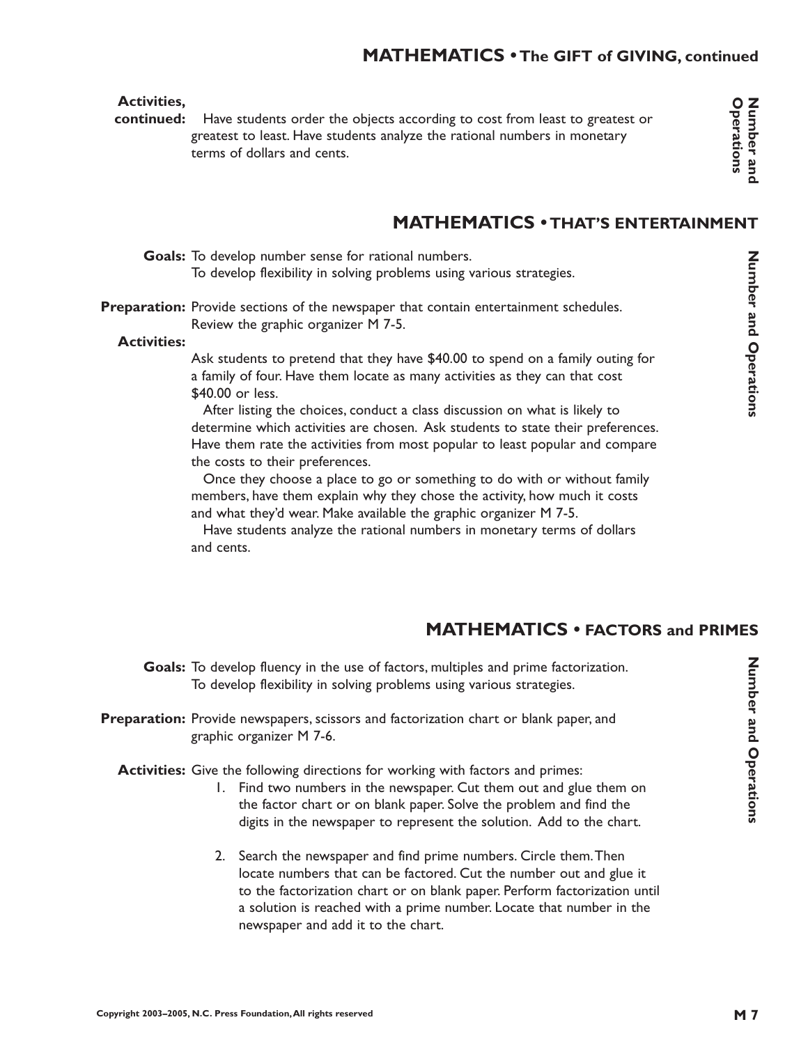## **MATHEMATICS • The GIFT of GIVING, continued**

#### **Activities,**

continued: Have students order the objects according to cost from least to greatest or greatest to least. Have students analyze the rational numbers in monetary terms of dollars and cents.

Number and Operations

# **MATHEMATICS • THAT'S ENTERTAINMENT**

Goals: To develop number sense for rational numbers. To develop flexibility in solving problems using various strategies.

Preparation: Provide sections of the newspaper that contain entertainment schedules. Review the graphic organizer M 7-5.

#### **Activities:**

Ask students to pretend that they have \$40.00 to spend on a family outing for a family of four. Have them locate as many activities as they can that cost \$40.00 or less.

After listing the choices, conduct a class discussion on what is likely to determine which activities are chosen. Ask students to state their preferences. Have them rate the activities from most popular to least popular and compare the costs to their preferences.

Once they choose a place to go or something to do with or without family members, have them explain why they chose the activity, how much it costs and what they'd wear. Make available the graphic organizer M 7-5.

Have students analyze the rational numbers in monetary terms of dollars and cents.

# **MATHEMATICS • FACTORS and PRIMES**

Goals: To develop fluency in the use of factors, multiples and prime factorization. To develop flexibility in solving problems using various strategies.

Preparation: Provide newspapers, scissors and factorization chart or blank paper, and graphic organizer M 7-6.

Activities: Give the following directions for working with factors and primes:

- 1. Find two numbers in the newspaper. Cut them out and glue them on the factor chart or on blank paper. Solve the problem and find the digits in the newspaper to represent the solution. Add to the chart.
- 2. Search the newspaper and find prime numbers. Circle them.Then locate numbers that can be factored. Cut the number out and glue it to the factorization chart or on blank paper. Perform factorization until a solution is reached with a prime number. Locate that number in the newspaper and add it to the chart.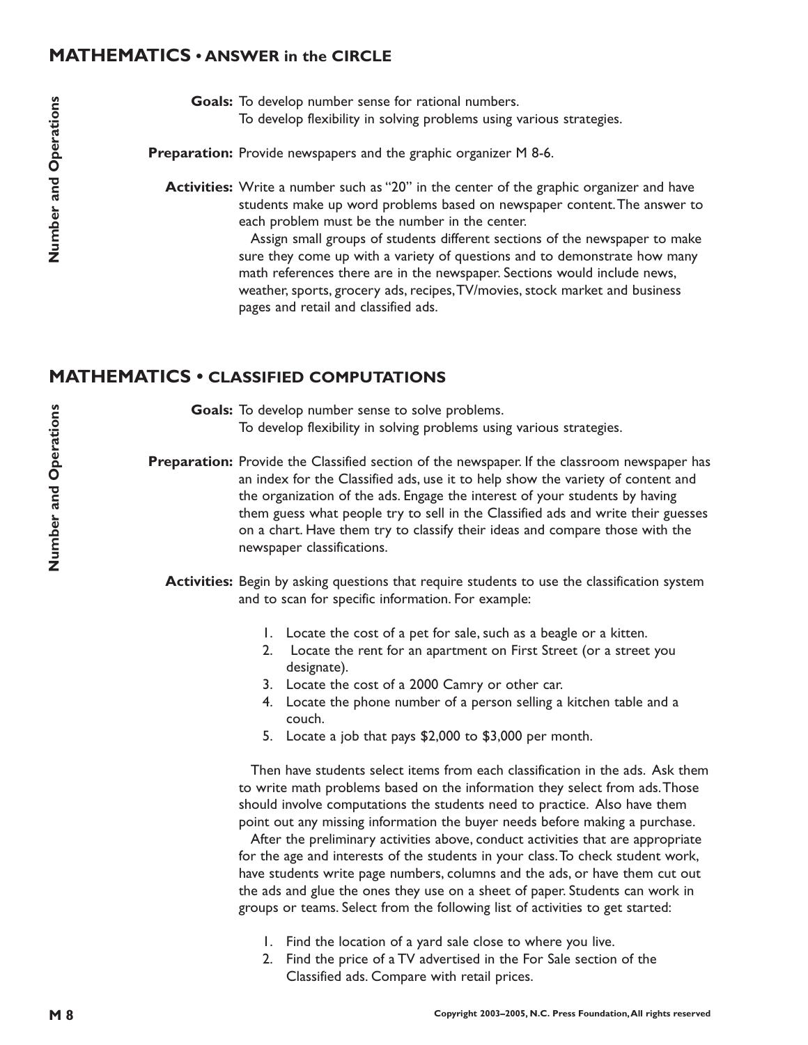#### **MATHEMATICS • ANSWER in the CIRCLE**

Goals: To develop number sense for rational numbers. To develop flexibility in solving problems using various strategies.

Preparation: Provide newspapers and the graphic organizer M 8-6.

**Activities:** Write a number such as ''20'' in the center of the graphic organizer and have students make up word problems based on newspaper content.The answer to each problem must be the number in the center.

> Assign small groups of students different sections of the newspaper to make sure they come up with a variety of questions and to demonstrate how many math references there are in the newspaper. Sections would include news, weather, sports, grocery ads, recipes,TV/movies, stock market and business pages and retail and classified ads.

## **MATHEMATICS • CLASSIFIED COMPUTATIONS**

Goals: To develop number sense to solve problems. To develop flexibility in solving problems using various strategies.

Preparation: Provide the Classified section of the newspaper. If the classroom newspaper has an index for the Classified ads, use it to help show the variety of content and the organization of the ads. Engage the interest of your students by having them guess what people try to sell in the Classified ads and write their guesses on a chart. Have them try to classify their ideas and compare those with the newspaper classifications.

**Activities:** Begin by asking questions that require students to use the classification system and to scan for specific information. For example:

- 1. Locate the cost of a pet for sale, such as a beagle or a kitten.
- 2. Locate the rent for an apartment on First Street (or a street you designate).
- 3. Locate the cost of a 2000 Camry or other car.
- 4. Locate the phone number of a person selling a kitchen table and a couch.
- 5. Locate a job that pays \$2,000 to \$3,000 per month.

Then have students select items from each classification in the ads. Ask them to write math problems based on the information they select from ads.Those should involve computations the students need to practice. Also have them point out any missing information the buyer needs before making a purchase.

After the preliminary activities above, conduct activities that are appropriate for the age and interests of the students in your class.To check student work, have students write page numbers, columns and the ads, or have them cut out the ads and glue the ones they use on a sheet of paper. Students can work in groups or teams. Select from the following list of activities to get started:

- 1. Find the location of a yard sale close to where you live.
- 2. Find the price of a TV advertised in the For Sale section of the Classified ads. Compare with retail prices.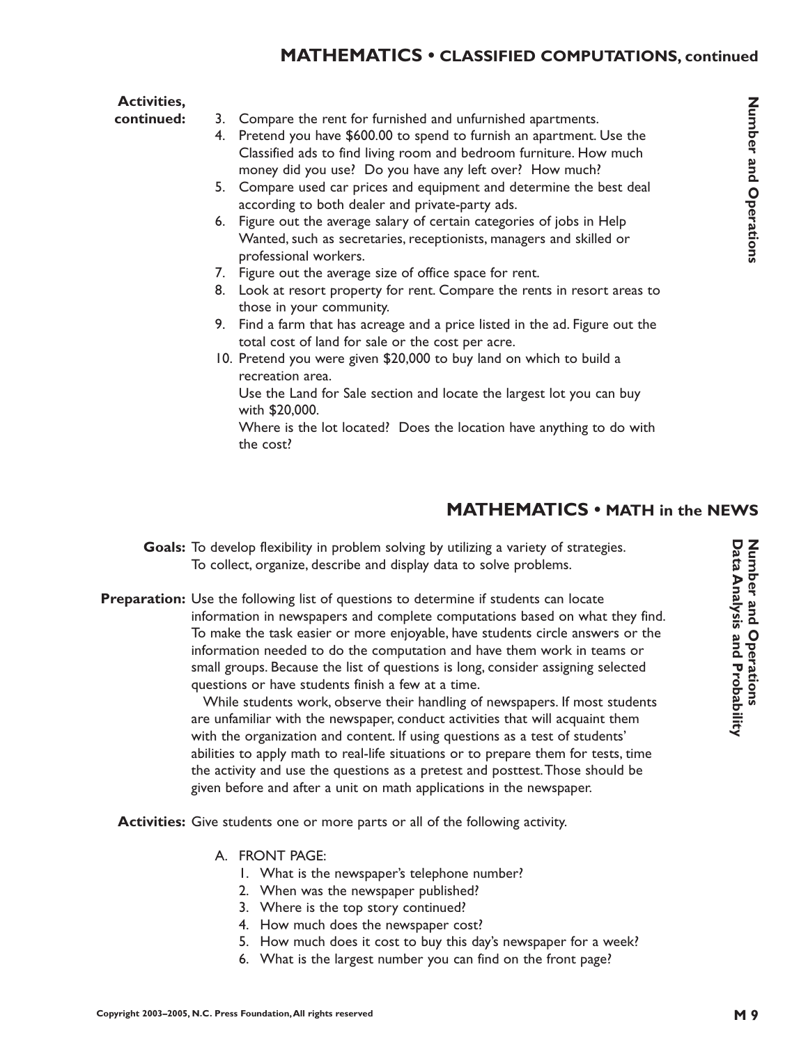#### **Activities,**

3. Compare the rent for furnished and unfurnished apartments. **continued:**

- 4. Pretend you have \$600.00 to spend to furnish an apartment. Use the Classified ads to find living room and bedroom furniture. How much money did you use? Do you have any left over? How much?
- 5. Compare used car prices and equipment and determine the best deal according to both dealer and private-party ads.
- 6. Figure out the average salary of certain categories of jobs in Help Wanted, such as secretaries, receptionists, managers and skilled or professional workers.
- 7. Figure out the average size of office space for rent.
- 8. Look at resort property for rent. Compare the rents in resort areas to those in your community.
- 9. Find a farm that has acreage and a price listed in the ad. Figure out the total cost of land for sale or the cost per acre.
- 10. Pretend you were given \$20,000 to buy land on which to build a recreation area. Use the Land for Sale section and locate the largest lot you can buy with \$20,000.

Where is the lot located? Does the location have anything to do with the cost?

# **MATHEMATICS • MATH in the NEWS**

- Goals: To develop flexibility in problem solving by utilizing a variety of strategies. To collect, organize, describe and display data to solve problems.
- **Preparation:** Use the following list of questions to determine if students can locate information in newspapers and complete computations based on what they find. To make the task easier or more enjoyable, have students circle answers or the information needed to do the computation and have them work in teams or small groups. Because the list of questions is long, consider assigning selected questions or have students finish a few at a time.

While students work, observe their handling of newspapers. If most students are unfamiliar with the newspaper, conduct activities that will acquaint them with the organization and content. If using questions as a test of students' abilities to apply math to real-life situations or to prepare them for tests, time the activity and use the questions as a pretest and posttest.Those should be given before and after a unit on math applications in the newspaper.

Activities: Give students one or more parts or all of the following activity.

- A. FRONT PAGE:
	- 1. What is the newspaper's telephone number?
	- 2. When was the newspaper published?
	- 3. Where is the top story continued?
	- 4. How much does the newspaper cost?
	- 5. How much does it cost to buy this day's newspaper for a week?
	- 6. What is the largest number you can find on the front page?

Number and Operations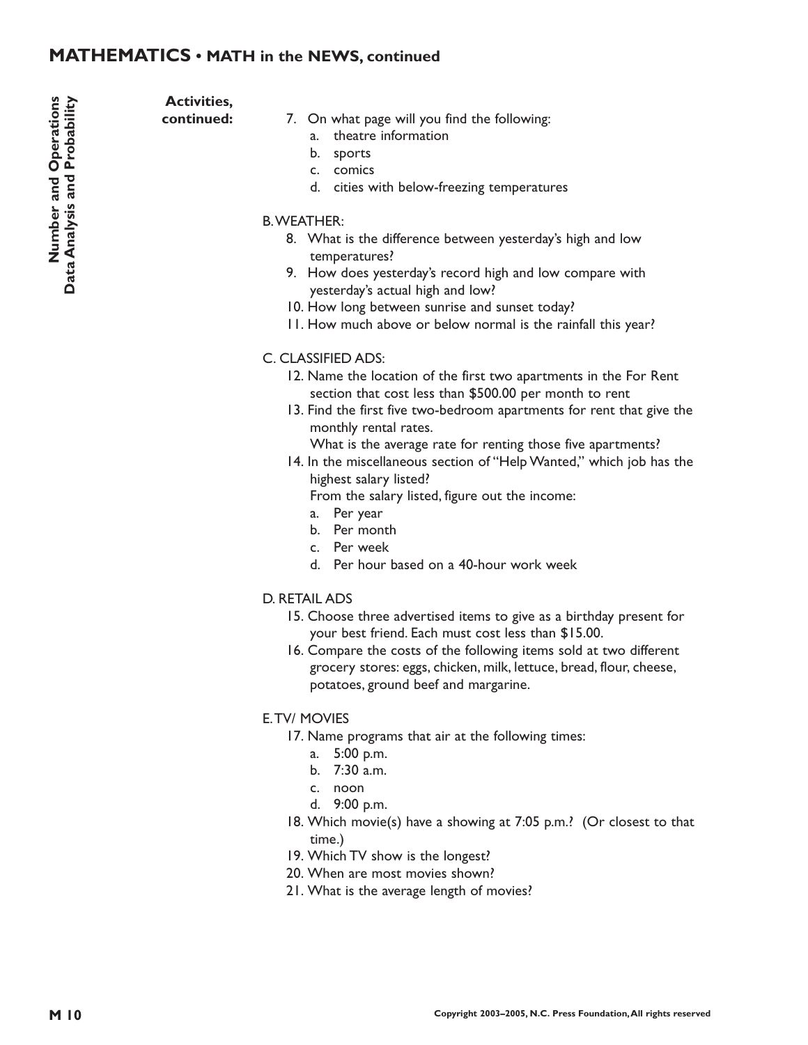## **MATHEMATICS • MATH in the NEWS, continued**

Number and Operations<br>Data Analysis and Probability **M 10 Number and Operations Data Analysis and Probability**

**Activities, continued:**

#### 7. On what page will you find the following:

- a. theatre information
- b. sports
- c. comics
- d. cities with below-freezing temperatures

#### B.WEATHER:

- 8. What is the difference between yesterday's high and low temperatures?
- 9. How does yesterday's record high and low compare with yesterday's actual high and low?
- 10. How long between sunrise and sunset today?
- 11. How much above or below normal is the rainfall this year?

#### C. CLASSIFIED ADS:

- 12. Name the location of the first two apartments in the For Rent section that cost less than \$500.00 per month to rent
- 13. Find the first five two-bedroom apartments for rent that give the monthly rental rates.

What is the average rate for renting those five apartments?

14. In the miscellaneous section of "Help Wanted," which job has the highest salary listed?

From the salary listed, figure out the income:

- a. Per year
- b. Per month
- c. Per week
- d. Per hour based on a 40-hour work week

#### D. RETAIL ADS

- 15. Choose three advertised items to give as a birthday present for your best friend. Each must cost less than \$15.00.
- 16. Compare the costs of the following items sold at two different grocery stores: eggs, chicken, milk, lettuce, bread, flour, cheese, potatoes, ground beef and margarine.

#### E.TV/ MOVIES

- 17. Name programs that air at the following times:
	- a. 5:00 p.m.
	- b. 7:30 a.m.
	- c. noon
	- d. 9:00 p.m.
- 18. Which movie(s) have a showing at 7:05 p.m.? (Or closest to that time.)
- 19. Which TV show is the longest?
- 20. When are most movies shown?
- 21. What is the average length of movies?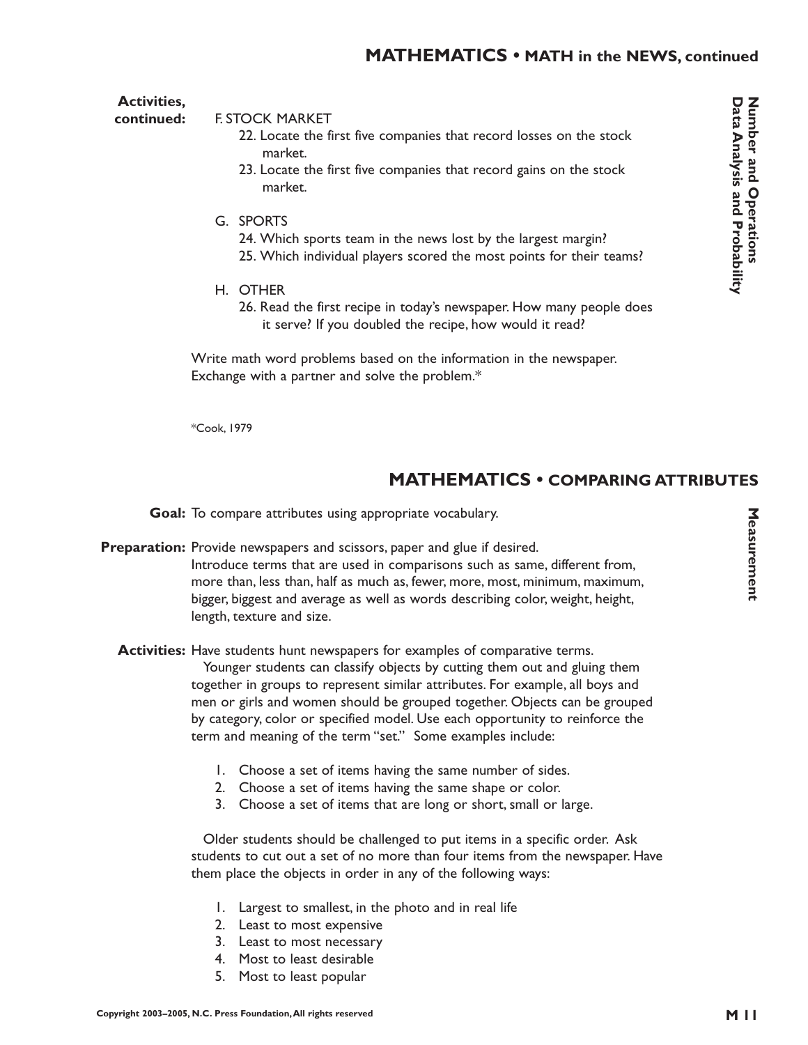### **MATHEMATICS • MATH in the NEWS, continued**

**Activities,**

F. STOCK MARKET **continued:**

- 22. Locate the first five companies that record losses on the stock market.
- 23. Locate the first five companies that record gains on the stock market.
- G. SPORTS
	- 24. Which sports team in the news lost by the largest margin? 25. Which individual players scored the most points for their teams?
- H. OTHER
	- 26. Read the first recipe in today's newspaper. How many people does it serve? If you doubled the recipe, how would it read?

Write math word problems based on the information in the newspaper. Exchange with a partner and solve the problem.\*

\*Cook, 1979

#### **MATHEMATICS • COMPARING ATTRIBUTES**

Goal: To compare attributes using appropriate vocabulary.

- Preparation: Provide newspapers and scissors, paper and glue if desired. Introduce terms that are used in comparisons such as same, different from, more than, less than, half as much as, fewer, more, most, minimum, maximum, bigger, biggest and average as well as words describing color, weight, height, length, texture and size.
	- **Activities:** Have students hunt newspapers for examples of comparative terms. Younger students can classify objects by cutting them out and gluing them together in groups to represent similar attributes. For example, all boys and men or girls and women should be grouped together. Objects can be grouped by category, color or specified model. Use each opportunity to reinforce the term and meaning of the term "set." Some examples include:
		- 1. Choose a set of items having the same number of sides.
		- 2. Choose a set of items having the same shape or color.
		- 3. Choose a set of items that are long or short, small or large.

Older students should be challenged to put items in a specific order. Ask students to cut out a set of no more than four items from the newspaper. Have them place the objects in order in any of the following ways:

- 1. Largest to smallest, in the photo and in real life
- 2. Least to most expensive
- 3. Least to most necessary
- 4. Most to least desirable
- 5. Most to least popular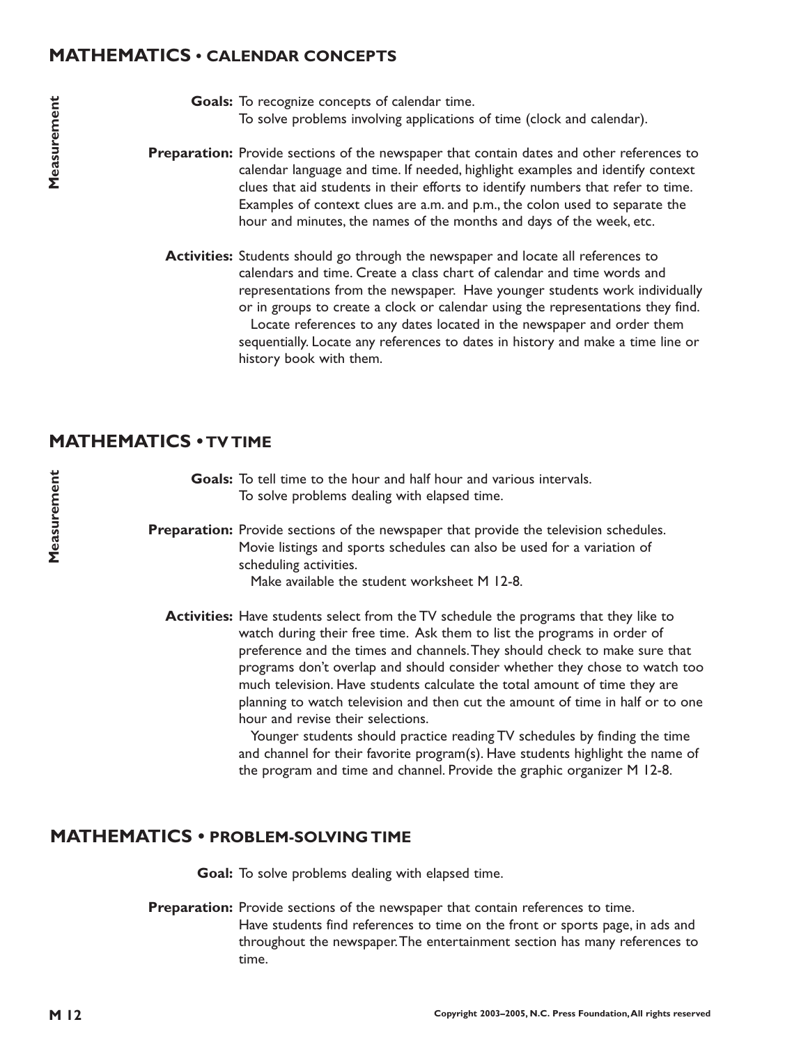## **MATHEMATICS • CALENDAR CONCEPTS**

- Goals: To recognize concepts of calendar time. To solve problems involving applications of time (clock and calendar).
- Preparation: Provide sections of the newspaper that contain dates and other references to calendar language and time. If needed, highlight examples and identify context clues that aid students in their efforts to identify numbers that refer to time. Examples of context clues are a.m. and p.m., the colon used to separate the hour and minutes, the names of the months and days of the week, etc.
	- Activities: Students should go through the newspaper and locate all references to calendars and time. Create a class chart of calendar and time words and representations from the newspaper. Have younger students work individually or in groups to create a clock or calendar using the representations they find. Locate references to any dates located in the newspaper and order them sequentially. Locate any references to dates in history and make a time line or history book with them.

## **MATHEMATICS • TV TIME**

Goals: To tell time to the hour and half hour and various intervals. To solve problems dealing with elapsed time.

Preparation: Provide sections of the newspaper that provide the television schedules. Movie listings and sports schedules can also be used for a variation of scheduling activities.

Make available the student worksheet M 12-8.

**Activities:** Have students select from the TV schedule the programs that they like to watch during their free time. Ask them to list the programs in order of preference and the times and channels.They should check to make sure that programs don't overlap and should consider whether they chose to watch too much television. Have students calculate the total amount of time they are planning to watch television and then cut the amount of time in half or to one hour and revise their selections.

> Younger students should practice reading TV schedules by finding the time and channel for their favorite program(s). Have students highlight the name of the program and time and channel. Provide the graphic organizer M 12-8.

## **MATHEMATICS • PROBLEM-SOLVING TIME**

Goal: To solve problems dealing with elapsed time.

Preparation: Provide sections of the newspaper that contain references to time. Have students find references to time on the front or sports page, in ads and throughout the newspaper.The entertainment section has many references to time.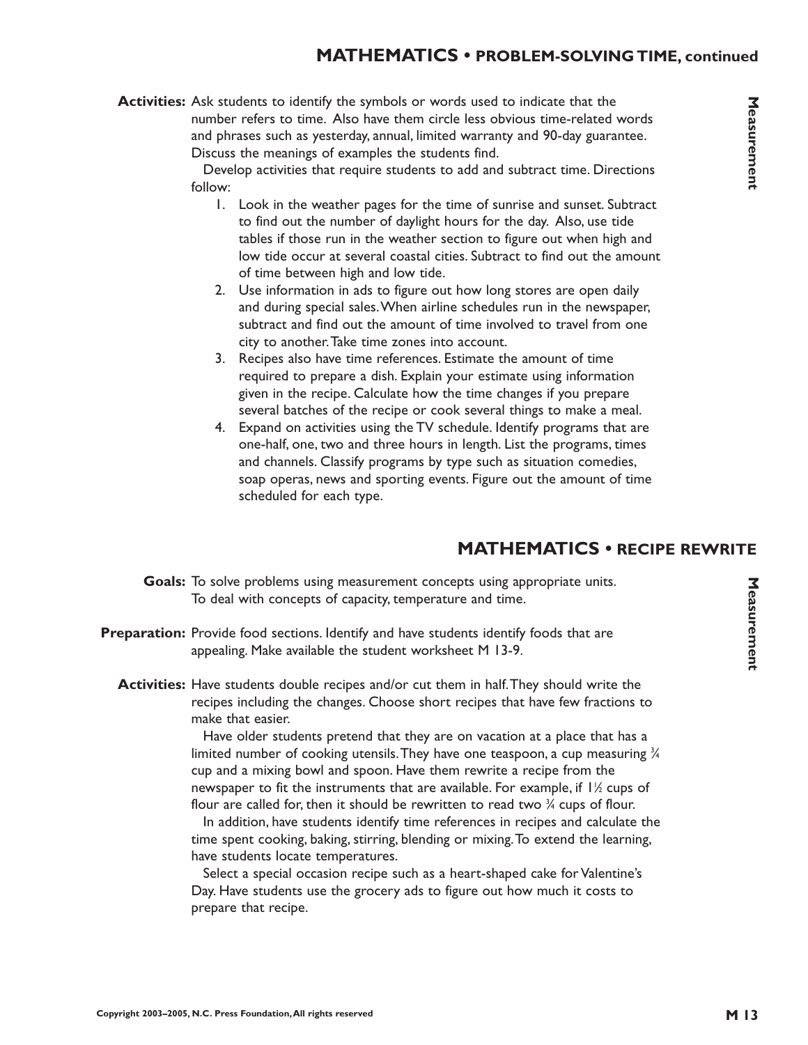## **MATHEMATICS • PROBLEM-SOLVING TIME, continued**

Develop activities that require students to add and subtract time. Directions follow:

- 1. Look in the weather pages for the time of sunrise and sunset. Subtract to find out the number of daylight hours for the day. Also, use tide tables if those run in the weather section to figure out when high and low tide occur at several coastal cities. Subtract to find out the amount of time between high and low tide.
- 2. Use information in ads to figure out how long stores are open daily and during special sales.When airline schedules run in the newspaper, subtract and find out the amount of time involved to travel from one city to another.Take time zones into account.
- 3. Recipes also have time references. Estimate the amount of time required to prepare a dish. Explain your estimate using information given in the recipe. Calculate how the time changes if you prepare several batches of the recipe or cook several things to make a meal.
- 4. Expand on activities using the TV schedule. Identify programs that are one-half, one, two and three hours in length. List the programs, times and channels. Classify programs by type such as situation comedies, soap operas, news and sporting events. Figure out the amount of time scheduled for each type.

## **MATHEMATICS • RECIPE REWRITE**

- Goals: To solve problems using measurement concepts using appropriate units. To deal with concepts of capacity, temperature and time.
- Preparation: Provide food sections. Identify and have students identify foods that are appealing. Make available the student worksheet M 13-9.
	- **Activities:** Have students double recipes and/or cut them in half.They should write the recipes including the changes. Choose short recipes that have few fractions to make that easier.

Have older students pretend that they are on vacation at a place that has a limited number of cooking utensils. They have one teaspoon, a cup measuring  $\frac{3\sqrt{3}}{2}$ cup and a mixing bowl and spoon. Have them rewrite a recipe from the newspaper to fit the instruments that are available. For example, if 1½ cups of flour are called for, then it should be rewritten to read two  $\mathrm{\%}$  cups of flour.

In addition, have students identify time references in recipes and calculate the time spent cooking, baking, stirring, blending or mixing.To extend the learning, have students locate temperatures.

Select a special occasion recipe such as a heart-shaped cake for Valentine's Day. Have students use the grocery ads to figure out how much it costs to prepare that recipe.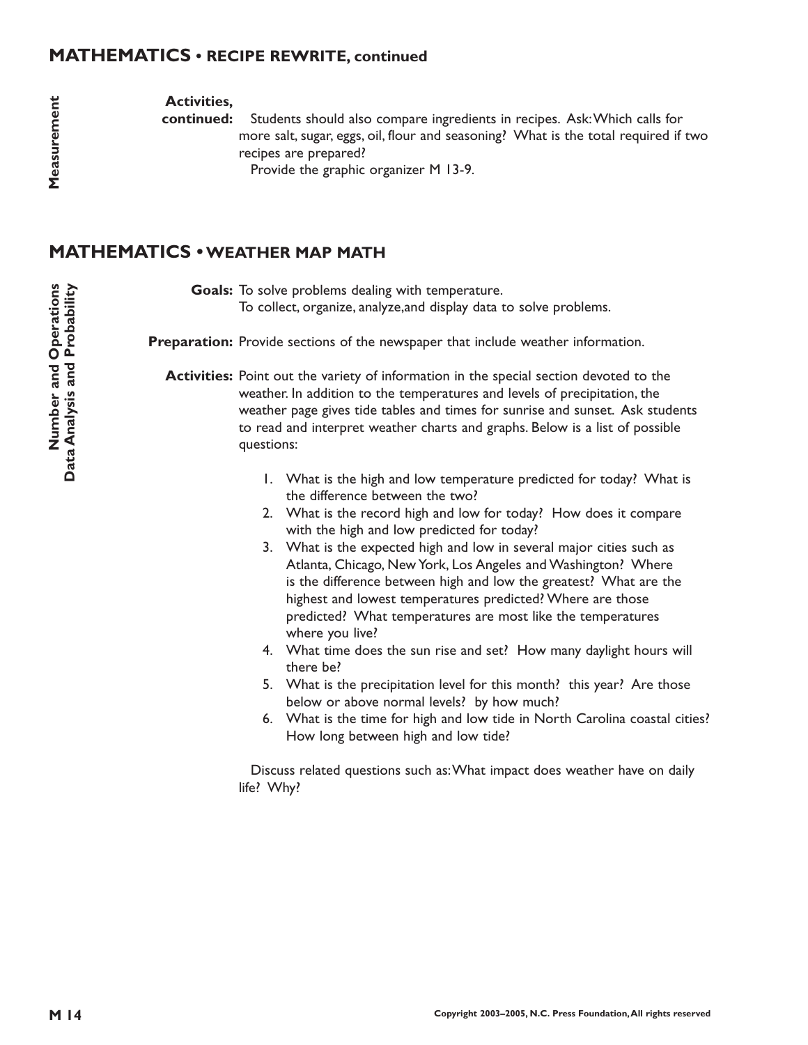#### **MATHEMATICS • RECIPE REWRITE, continued**

**Activities,**

**continued:**

Students should also compare ingredients in recipes. Ask:Which calls for more salt, sugar, eggs, oil, flour and seasoning? What is the total required if two recipes are prepared?

Provide the graphic organizer M 13-9.

## **MATHEMATICS •WEATHER MAP MATH**

Goals: To solve problems dealing with temperature. To collect, organize, analyze,and display data to solve problems.

Preparation: Provide sections of the newspaper that include weather information.

**Activities:** Point out the variety of information in the special section devoted to the weather. In addition to the temperatures and levels of precipitation, the weather page gives tide tables and times for sunrise and sunset. Ask students to read and interpret weather charts and graphs. Below is a list of possible questions:

- 1. What is the high and low temperature predicted for today? What is the difference between the two?
- 2. What is the record high and low for today? How does it compare with the high and low predicted for today?
- 3. What is the expected high and low in several major cities such as Atlanta, Chicago, New York, Los Angeles and Washington? Where is the difference between high and low the greatest? What are the highest and lowest temperatures predicted? Where are those predicted? What temperatures are most like the temperatures where you live?
- 4. What time does the sun rise and set? How many daylight hours will there be?
- 5. What is the precipitation level for this month? this year? Are those below or above normal levels? by how much?
- 6. What is the time for high and low tide in North Carolina coastal cities? How long between high and low tide?

Discuss related questions such as:What impact does weather have on daily life? Why?

Measurement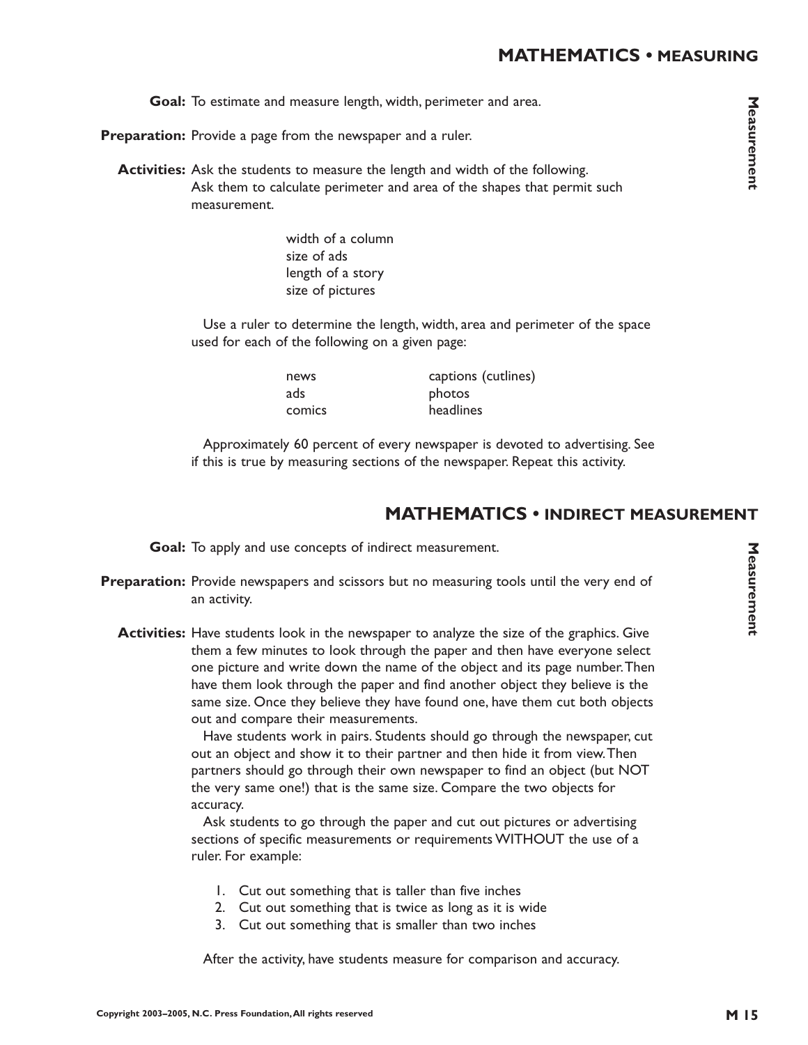Goal: To estimate and measure length, width, perimeter and area.

Preparation: Provide a page from the newspaper and a ruler.

**Activities:** Ask the students to measure the length and width of the following. Ask them to calculate perimeter and area of the shapes that permit such measurement.

> width of a column size of ads length of a story size of pictures

Use a ruler to determine the length, width, area and perimeter of the space used for each of the following on a given page:

ads photos

news captions (cutlines) comics headlines

Approximately 60 percent of every newspaper is devoted to advertising. See if this is true by measuring sections of the newspaper. Repeat this activity.

#### **MATHEMATICS • INDIRECT MEASUREMENT**

Goal: To apply and use concepts of indirect measurement.

- Preparation: Provide newspapers and scissors but no measuring tools until the very end of an activity.
	- **Activities:** Have students look in the newspaper to analyze the size of the graphics. Give them a few minutes to look through the paper and then have everyone select one picture and write down the name of the object and its page number.Then have them look through the paper and find another object they believe is the same size. Once they believe they have found one, have them cut both objects out and compare their measurements.

Have students work in pairs. Students should go through the newspaper, cut out an object and show it to their partner and then hide it from view.Then partners should go through their own newspaper to find an object (but NOT the very same one!) that is the same size. Compare the two objects for accuracy.

Ask students to go through the paper and cut out pictures or advertising sections of specific measurements or requirements WITHOUT the use of a ruler. For example:

- 1. Cut out something that is taller than five inches
- 2. Cut out something that is twice as long as it is wide
- 3. Cut out something that is smaller than two inches

After the activity, have students measure for comparison and accuracy.

Measurement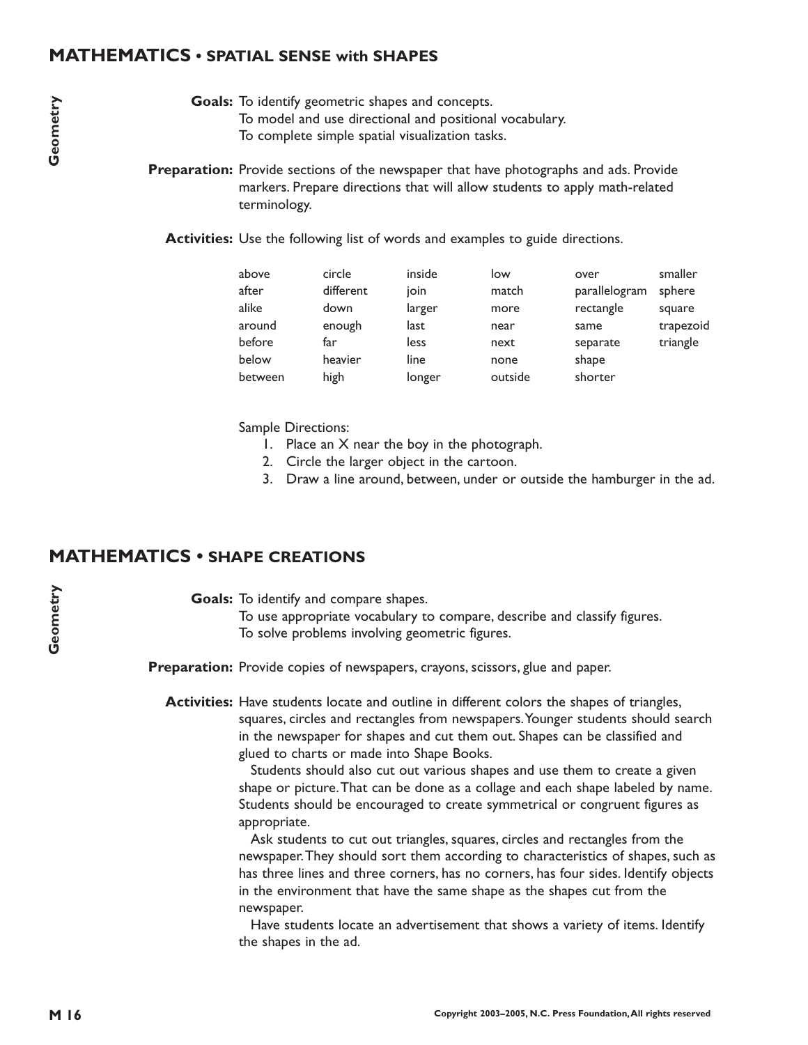#### **MATHEMATICS • SPATIAL SENSE with SHAPES**

- Goals: To identify geometric shapes and concepts. To model and use directional and positional vocabulary.
	- To complete simple spatial visualization tasks.
- **Preparation:** Provide sections of the newspaper that have photographs and ads. Provide markers. Prepare directions that will allow students to apply math-related terminology.
	- **Activities:** Use the following list of words and examples to guide directions.

| above   | circle    | inside | low     | over          | smaller   |
|---------|-----------|--------|---------|---------------|-----------|
| after   | different | ioin   | match   | parallelogram | sphere    |
| alike   | down      | larger | more    | rectangle     | square    |
| around  | enough    | last   | near    | same          | trapezoid |
| before  | far       | less   | next    | separate      | triangle  |
| below   | heavier   | line   | none    | shape         |           |
| between | high      | longer | outside | shorter       |           |

Sample Directions:

- 1. Place an X near the boy in the photograph.
- 2. Circle the larger object in the cartoon.
- 3. Draw a line around, between, under or outside the hamburger in the ad.

## **MATHEMATICS • SHAPE CREATIONS**

Goals: To identify and compare shapes.

To use appropriate vocabulary to compare, describe and classify figures. To solve problems involving geometric figures.

Preparation: Provide copies of newspapers, crayons, scissors, glue and paper.

**Activities:** Have students locate and outline in different colors the shapes of triangles, squares, circles and rectangles from newspapers.Younger students should search in the newspaper for shapes and cut them out. Shapes can be classified and glued to charts or made into Shape Books.

> Students should also cut out various shapes and use them to create a given shape or picture.That can be done as a collage and each shape labeled by name. Students should be encouraged to create symmetrical or congruent figures as appropriate.

> Ask students to cut out triangles, squares, circles and rectangles from the newspaper.They should sort them according to characteristics of shapes, such as has three lines and three corners, has no corners, has four sides. Identify objects in the environment that have the same shape as the shapes cut from the newspaper.

Have students locate an advertisement that shows a variety of items. Identify the shapes in the ad.

**Geometry**

Geometry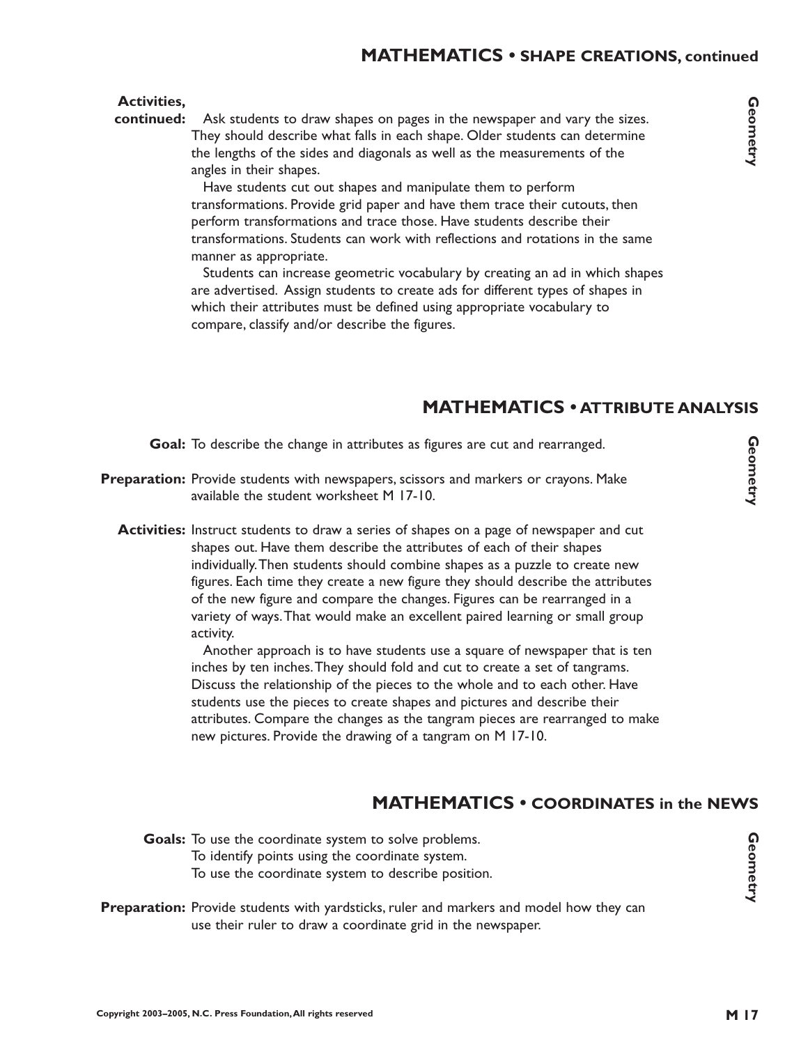### **MATHEMATICS • SHAPE CREATIONS, continued**

#### **Activities,**

Ask students to draw shapes on pages in the newspaper and vary the sizes. They should describe what falls in each shape. Older students can determine the lengths of the sides and diagonals as well as the measurements of the angles in their shapes. **continued:**

> Have students cut out shapes and manipulate them to perform transformations. Provide grid paper and have them trace their cutouts, then perform transformations and trace those. Have students describe their transformations. Students can work with reflections and rotations in the same manner as appropriate.

Students can increase geometric vocabulary by creating an ad in which shapes are advertised. Assign students to create ads for different types of shapes in which their attributes must be defined using appropriate vocabulary to compare, classify and/or describe the figures.

## **MATHEMATICS • ATTRIBUTE ANALYSIS**

Goal: To describe the change in attributes as figures are cut and rearranged.

- Preparation: Provide students with newspapers, scissors and markers or crayons. Make available the student worksheet M 17-10.
	- **Activities:** Instruct students to draw a series of shapes on a page of newspaper and cut shapes out. Have them describe the attributes of each of their shapes individually.Then students should combine shapes as a puzzle to create new figures. Each time they create a new figure they should describe the attributes of the new figure and compare the changes. Figures can be rearranged in a variety of ways.That would make an excellent paired learning or small group activity.

Another approach is to have students use a square of newspaper that is ten inches by ten inches.They should fold and cut to create a set of tangrams. Discuss the relationship of the pieces to the whole and to each other. Have students use the pieces to create shapes and pictures and describe their attributes. Compare the changes as the tangram pieces are rearranged to make new pictures. Provide the drawing of a tangram on M 17-10.

## **MATHEMATICS • COORDINATES in the NEWS**

Goals: To use the coordinate system to solve problems. To identify points using the coordinate system. To use the coordinate system to describe position.

**Preparation:** Provide students with yardsticks, ruler and markers and model how they can use their ruler to draw a coordinate grid in the newspaper.

Geometry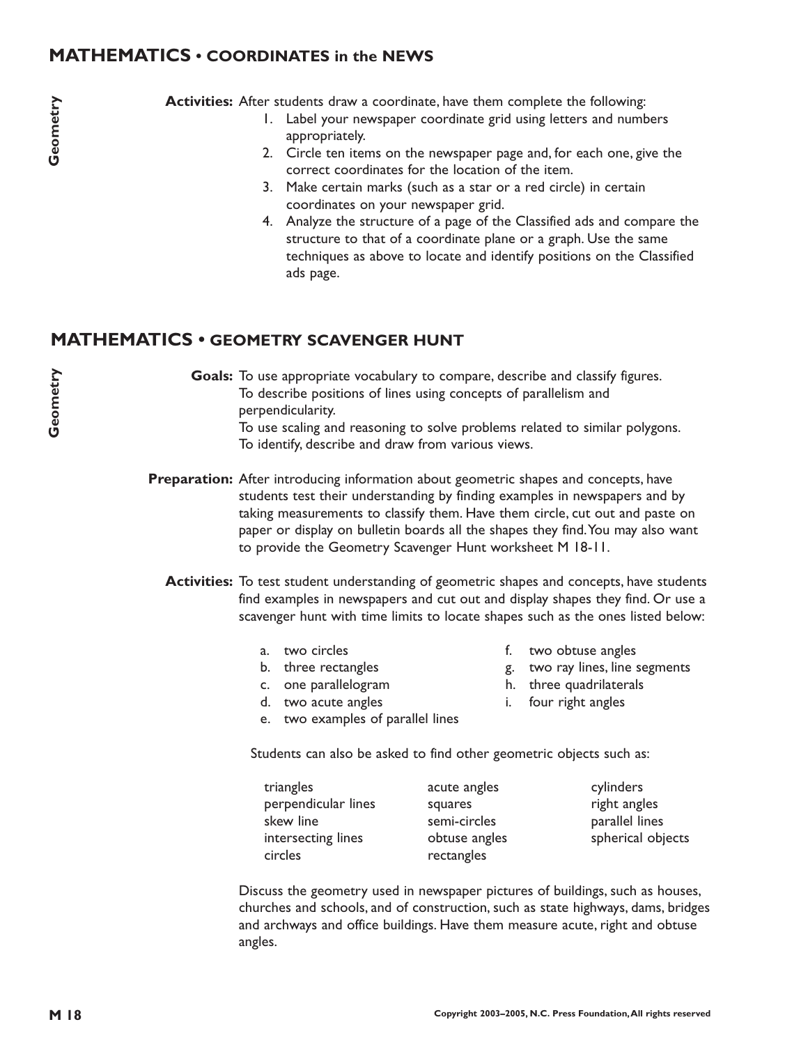## **MATHEMATICS • COORDINATES in the NEWS**

Activities: After students draw a coordinate, have them complete the following:

- 1. Label your newspaper coordinate grid using letters and numbers appropriately.
- 2. Circle ten items on the newspaper page and, for each one, give the correct coordinates for the location of the item.
- 3. Make certain marks (such as a star or a red circle) in certain coordinates on your newspaper grid.
- 4. Analyze the structure of a page of the Classified ads and compare the structure to that of a coordinate plane or a graph. Use the same techniques as above to locate and identify positions on the Classified ads page.

## **MATHEMATICS • GEOMETRY SCAVENGER HUNT**

Goals: To use appropriate vocabulary to compare, describe and classify figures. To describe positions of lines using concepts of parallelism and perpendicularity. To use scaling and reasoning to solve problems related to similar polygons. To identify, describe and draw from various views.

**Preparation:** After introducing information about geometric shapes and concepts, have students test their understanding by finding examples in newspapers and by taking measurements to classify them. Have them circle, cut out and paste on paper or display on bulletin boards all the shapes they find.You may also want to provide the Geometry Scavenger Hunt worksheet M 18-11.

**Activities:** To test student understanding of geometric shapes and concepts, have students find examples in newspapers and cut out and display shapes they find. Or use a scavenger hunt with time limits to locate shapes such as the ones listed below:

a. two circles

- f. two obtuse angles
- g. two ray lines, line segments
- b. three rectangles c. one parallelogram
- d. two acute angles
- e. two examples of parallel lines
- h. three quadrilaterals
- i. four right angles

Students can also be asked to find other geometric objects such as:

| triangles           | acute angles  | cylinders         |
|---------------------|---------------|-------------------|
| perpendicular lines | squares       | right angles      |
| skew line           | semi-circles  | parallel lines    |
| intersecting lines  | obtuse angles | spherical objects |
| circles             | rectangles    |                   |

Discuss the geometry used in newspaper pictures of buildings, such as houses, churches and schools, and of construction, such as state highways, dams, bridges and archways and office buildings. Have them measure acute, right and obtuse angles.

**M** 18 **Ceometry**<br> **M** 2<br> **M** 2 Geometry **Geometry**

Geometry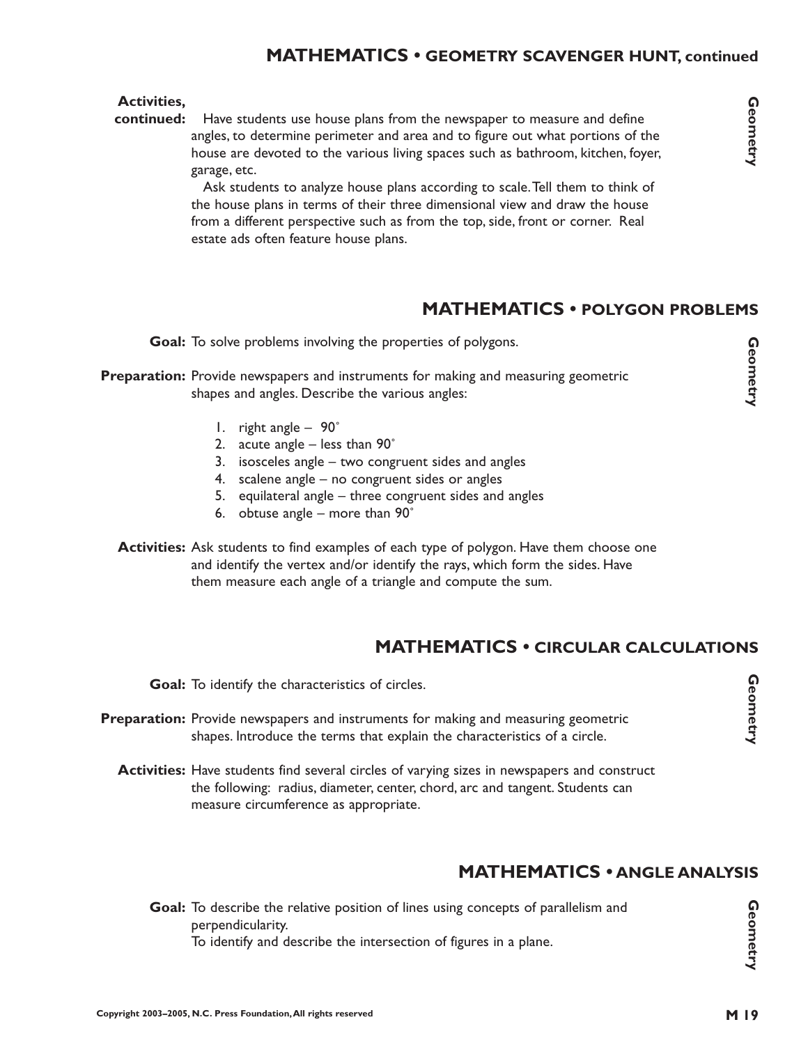## **MATHEMATICS • GEOMETRY SCAVENGER HUNT, continued**

#### **Activities,**

**continued:** Have students use house plans from the newspaper to measure and define angles, to determine perimeter and area and to figure out what portions of the house are devoted to the various living spaces such as bathroom, kitchen, foyer, garage, etc.

> Ask students to analyze house plans according to scale.Tell them to think of the house plans in terms of their three dimensional view and draw the house from a different perspective such as from the top, side, front or corner. Real estate ads often feature house plans.

## **MATHEMATICS • POLYGON PROBLEMS**

Goal: To solve problems involving the properties of polygons.

#### **Preparation:** Provide newspapers and instruments for making and measuring geometric shapes and angles. Describe the various angles:

- 1. right angle 90˚
- 2. acute angle less than 90˚
- 3. isosceles angle two congruent sides and angles
- 4. scalene angle no congruent sides or angles
- 5. equilateral angle three congruent sides and angles
- 6. obtuse angle more than 90˚
- **Activities:** Ask students to find examples of each type of polygon. Have them choose one and identify the vertex and/or identify the rays, which form the sides. Have them measure each angle of a triangle and compute the sum.

## **MATHEMATICS • CIRCULAR CALCULATIONS**

Goal: To identify the characteristics of circles.

- Preparation: Provide newspapers and instruments for making and measuring geometric shapes. Introduce the terms that explain the characteristics of a circle.
	- **Activities:** Have students find several circles of varying sizes in newspapers and construct the following: radius, diameter, center, chord, arc and tangent. Students can measure circumference as appropriate.

## **MATHEMATICS • ANGLE ANALYSIS**

Goal: To describe the relative position of lines using concepts of parallelism and perpendicularity. To identify and describe the intersection of figures in a plane.

**Geometry**

Geometry

Geometry<br>Geometry M 2 Geometry<br>Geometry M 2 Geometry

Geometry

**Geometry Geometry**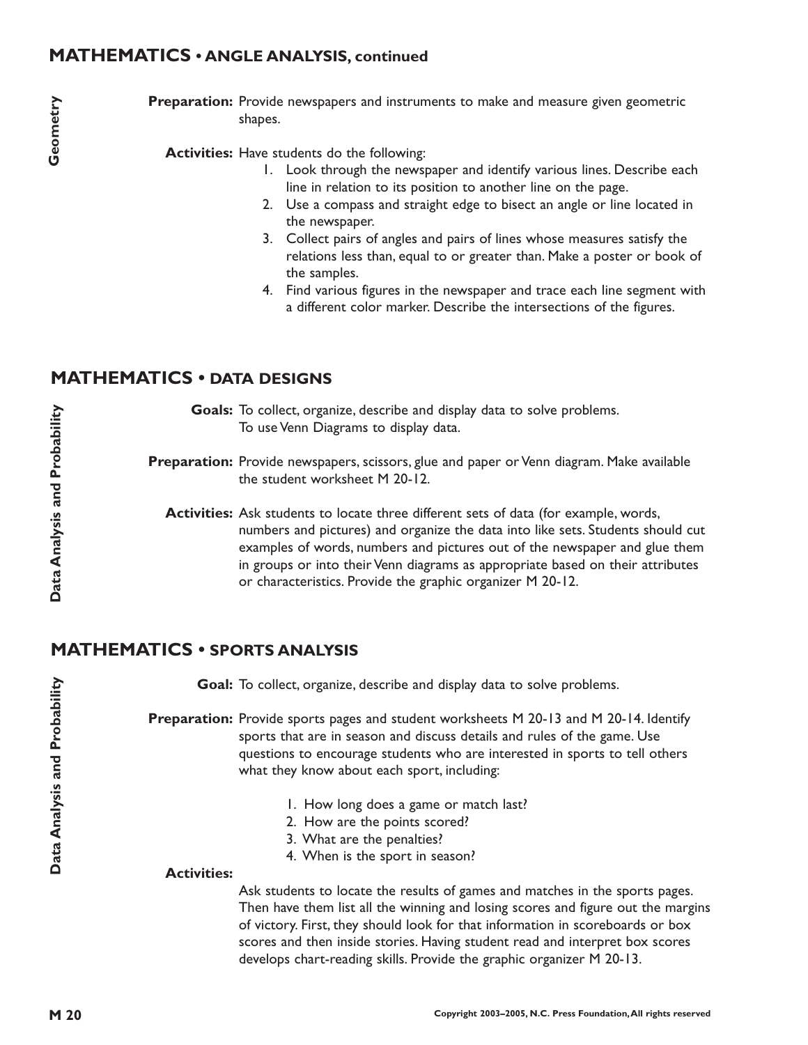## **MATHEMATICS • ANGLE ANALYSIS, continued**

Preparation: Provide newspapers and instruments to make and measure given geometric shapes.

Activities: Have students do the following:

- 1. Look through the newspaper and identify various lines. Describe each line in relation to its position to another line on the page.
- 2. Use a compass and straight edge to bisect an angle or line located in the newspaper.
- 3. Collect pairs of angles and pairs of lines whose measures satisfy the relations less than, equal to or greater than. Make a poster or book of the samples.
- 4. Find various figures in the newspaper and trace each line segment with a different color marker. Describe the intersections of the figures.

## **MATHEMATICS • DATA DESIGNS**

Goals: To collect, organize, describe and display data to solve problems. To use Venn Diagrams to display data.

Preparation: Provide newspapers, scissors, glue and paper or Venn diagram. Make available the student worksheet M 20-12.

Activities: Ask students to locate three different sets of data (for example, words, numbers and pictures) and organize the data into like sets. Students should cut examples of words, numbers and pictures out of the newspaper and glue them in groups or into their Venn diagrams as appropriate based on their attributes or characteristics. Provide the graphic organizer M 20-12.

## **MATHEMATICS • SPORTS ANALYSIS**

Goal: To collect, organize, describe and display data to solve problems.

Preparation: Provide sports pages and student worksheets M 20-13 and M 20-14. Identify sports that are in season and discuss details and rules of the game. Use questions to encourage students who are interested in sports to tell others what they know about each sport, including:

- 1. How long does a game or match last?
- 2. How are the points scored?
- 3. What are the penalties?
- 4. When is the sport in season?

#### **Activities:**

Ask students to locate the results of games and matches in the sports pages. Then have them list all the winning and losing scores and figure out the margins of victory. First, they should look for that information in scoreboards or box scores and then inside stories. Having student read and interpret box scores develops chart-reading skills. Provide the graphic organizer M 20-13.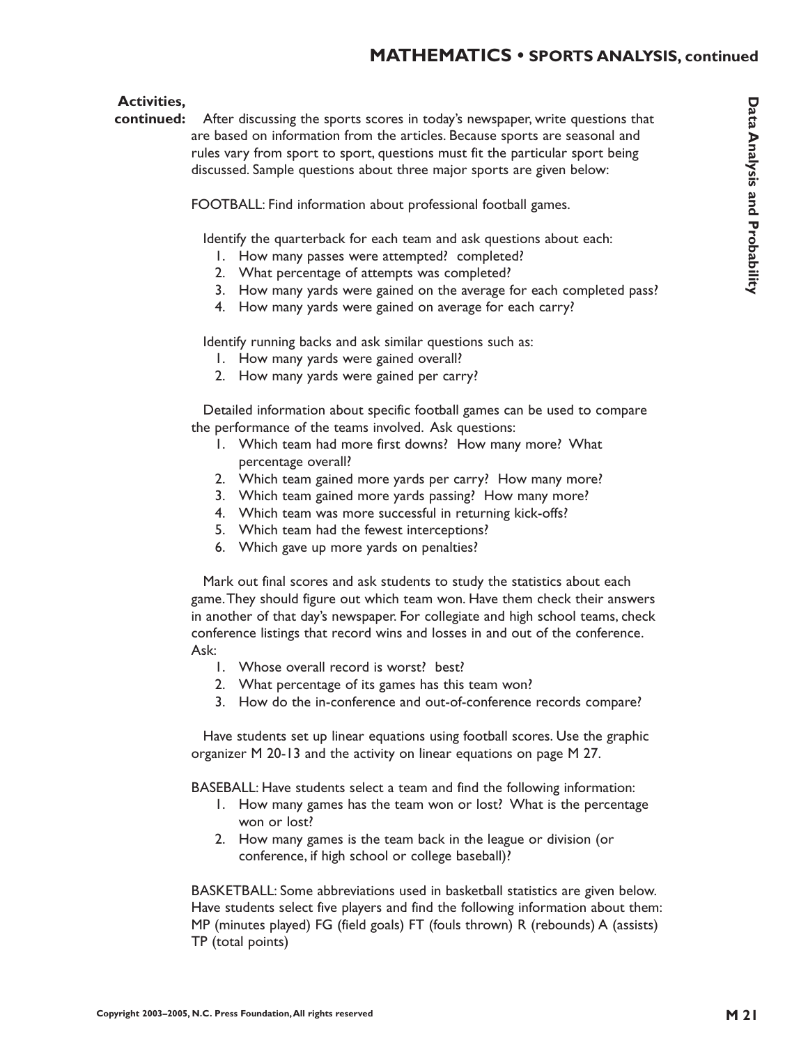#### **MATHEMATICS • SPORTS ANALYSIS, continued**

#### **Activities,**

continued: After discussing the sports scores in today's newspaper, write questions that are based on information from the articles. Because sports are seasonal and rules vary from sport to sport, questions must fit the particular sport being discussed. Sample questions about three major sports are given below:

FOOTBALL: Find information about professional football games.

Identify the quarterback for each team and ask questions about each:

- 1. How many passes were attempted? completed?
- 2. What percentage of attempts was completed?
- 3. How many yards were gained on the average for each completed pass?
- 4. How many yards were gained on average for each carry?

Identify running backs and ask similar questions such as:

- 1. How many yards were gained overall?
- 2. How many yards were gained per carry?

Detailed information about specific football games can be used to compare the performance of the teams involved. Ask questions:

- 1. Which team had more first downs? How many more? What percentage overall?
- 2. Which team gained more yards per carry? How many more?
- 3. Which team gained more yards passing? How many more?
- 4. Which team was more successful in returning kick-offs?
- 5. Which team had the fewest interceptions?
- 6. Which gave up more yards on penalties?

Mark out final scores and ask students to study the statistics about each game.They should figure out which team won. Have them check their answers in another of that day's newspaper. For collegiate and high school teams, check conference listings that record wins and losses in and out of the conference. Ask:

- 1. Whose overall record is worst? best?
- 2. What percentage of its games has this team won?
- 3. How do the in-conference and out-of-conference records compare?

Have students set up linear equations using football scores. Use the graphic organizer M 20-13 and the activity on linear equations on page M 27.

BASEBALL: Have students select a team and find the following information:

- 1. How many games has the team won or lost? What is the percentage won or lost?
- 2. How many games is the team back in the league or division (or conference, if high school or college baseball)?

BASKETBALL: Some abbreviations used in basketball statistics are given below. Have students select five players and find the following information about them: MP (minutes played) FG (field goals) FT (fouls thrown) R (rebounds) A (assists) TP (total points)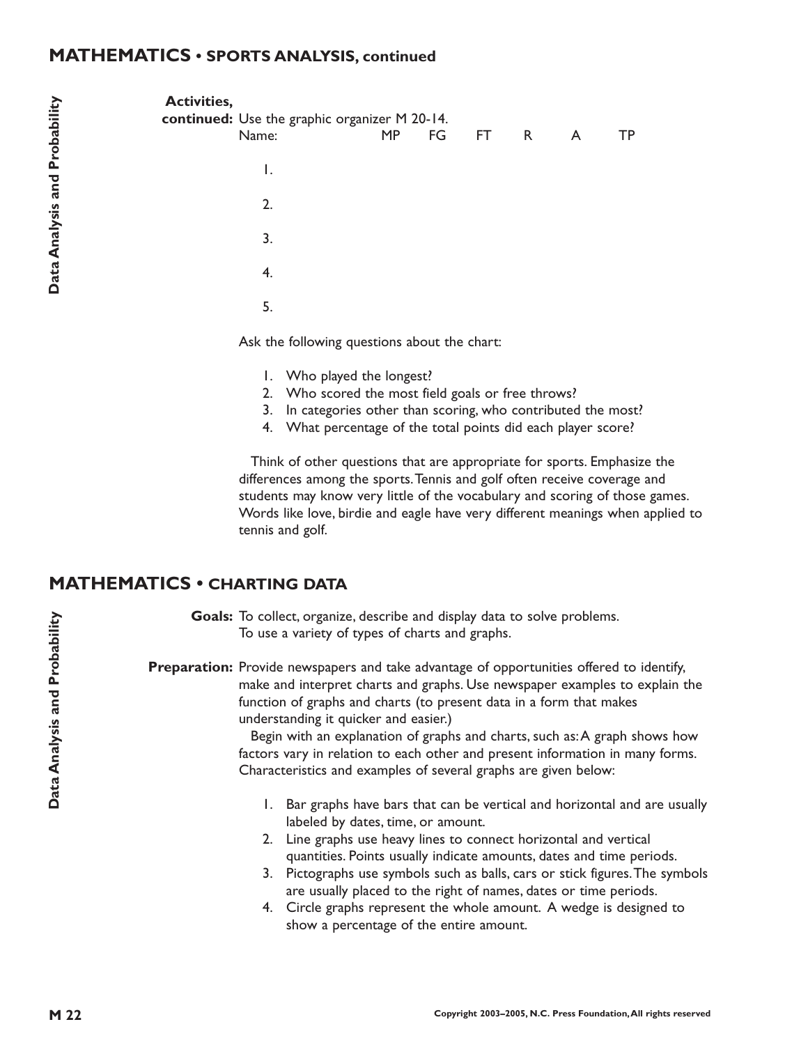#### **MATHEMATICS • SPORTS ANALYSIS, continued**

| <b>Activities,</b> | continued: Use the graphic organizer M 20-14. |           |           |  |    |
|--------------------|-----------------------------------------------|-----------|-----------|--|----|
|                    | Name:                                         | <b>MP</b> | FG FT R A |  | TP |
|                    | Ι.                                            |           |           |  |    |
|                    | 2.                                            |           |           |  |    |
|                    | 3.                                            |           |           |  |    |
|                    | 4.                                            |           |           |  |    |
|                    | 5.                                            |           |           |  |    |
|                    |                                               |           |           |  |    |

Ask the following questions about the chart:

- 1. Who played the longest?
- 2. Who scored the most field goals or free throws?
- 3. In categories other than scoring, who contributed the most?
- 4. What percentage of the total points did each player score?

Think of other questions that are appropriate for sports. Emphasize the differences among the sports.Tennis and golf often receive coverage and students may know very little of the vocabulary and scoring of those games. Words like love, birdie and eagle have very different meanings when applied to tennis and golf.

## **MATHEMATICS • CHARTING DATA**

Goals: To collect, organize, describe and display data to solve problems. To use a variety of types of charts and graphs.

Preparation: Provide newspapers and take advantage of opportunities offered to identify, make and interpret charts and graphs. Use newspaper examples to explain the function of graphs and charts (to present data in a form that makes understanding it quicker and easier.)

> Begin with an explanation of graphs and charts, such as:A graph shows how factors vary in relation to each other and present information in many forms. Characteristics and examples of several graphs are given below:

- 1. Bar graphs have bars that can be vertical and horizontal and are usually labeled by dates, time, or amount.
- 2. Line graphs use heavy lines to connect horizontal and vertical quantities. Points usually indicate amounts, dates and time periods.
- 3. Pictographs use symbols such as balls, cars or stick figures.The symbols are usually placed to the right of names, dates or time periods.
- 4. Circle graphs represent the whole amount. A wedge is designed to show a percentage of the entire amount.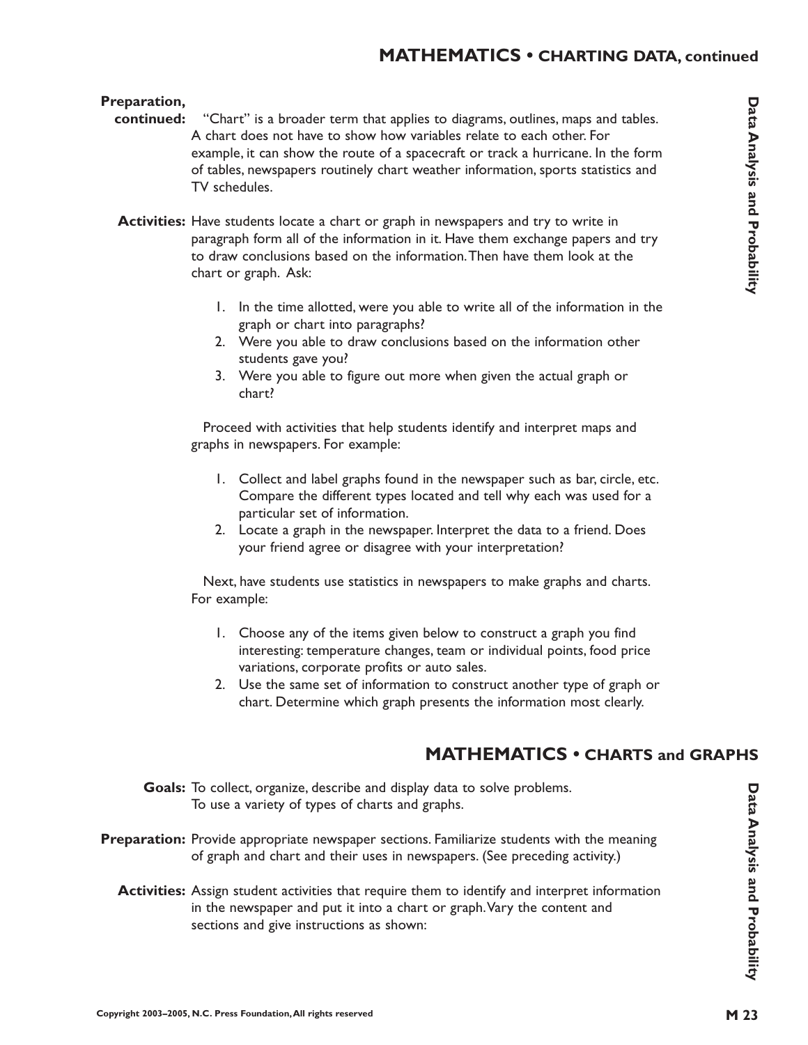#### **MATHEMATICS • CHARTING DATA, continued**

#### **Preparation,**

- "Chart" is a broader term that applies to diagrams, outlines, maps and tables. A chart does not have to show how variables relate to each other. For example, it can show the route of a spacecraft or track a hurricane. In the form of tables, newspapers routinely chart weather information, sports statistics and TV schedules. **continued:**
	- **Activities:** Have students locate a chart or graph in newspapers and try to write in paragraph form all of the information in it. Have them exchange papers and try to draw conclusions based on the information.Then have them look at the chart or graph. Ask:
		- 1. In the time allotted, were you able to write all of the information in the graph or chart into paragraphs?
		- 2. Were you able to draw conclusions based on the information other students gave you?
		- 3. Were you able to figure out more when given the actual graph or chart?

Proceed with activities that help students identify and interpret maps and graphs in newspapers. For example:

- 1. Collect and label graphs found in the newspaper such as bar, circle, etc. Compare the different types located and tell why each was used for a particular set of information.
- 2. Locate a graph in the newspaper. Interpret the data to a friend. Does your friend agree or disagree with your interpretation?

Next, have students use statistics in newspapers to make graphs and charts. For example:

- 1. Choose any of the items given below to construct a graph you find interesting: temperature changes, team or individual points, food price variations, corporate profits or auto sales.
- 2. Use the same set of information to construct another type of graph or chart. Determine which graph presents the information most clearly.

#### **MATHEMATICS • CHARTS and GRAPHS**

- Goals: To collect, organize, describe and display data to solve problems. To use a variety of types of charts and graphs.
- Preparation: Provide appropriate newspaper sections. Familiarize students with the meaning of graph and chart and their uses in newspapers. (See preceding activity.)
	- **Activities:** Assign student activities that require them to identify and interpret information in the newspaper and put it into a chart or graph.Vary the content and sections and give instructions as shown: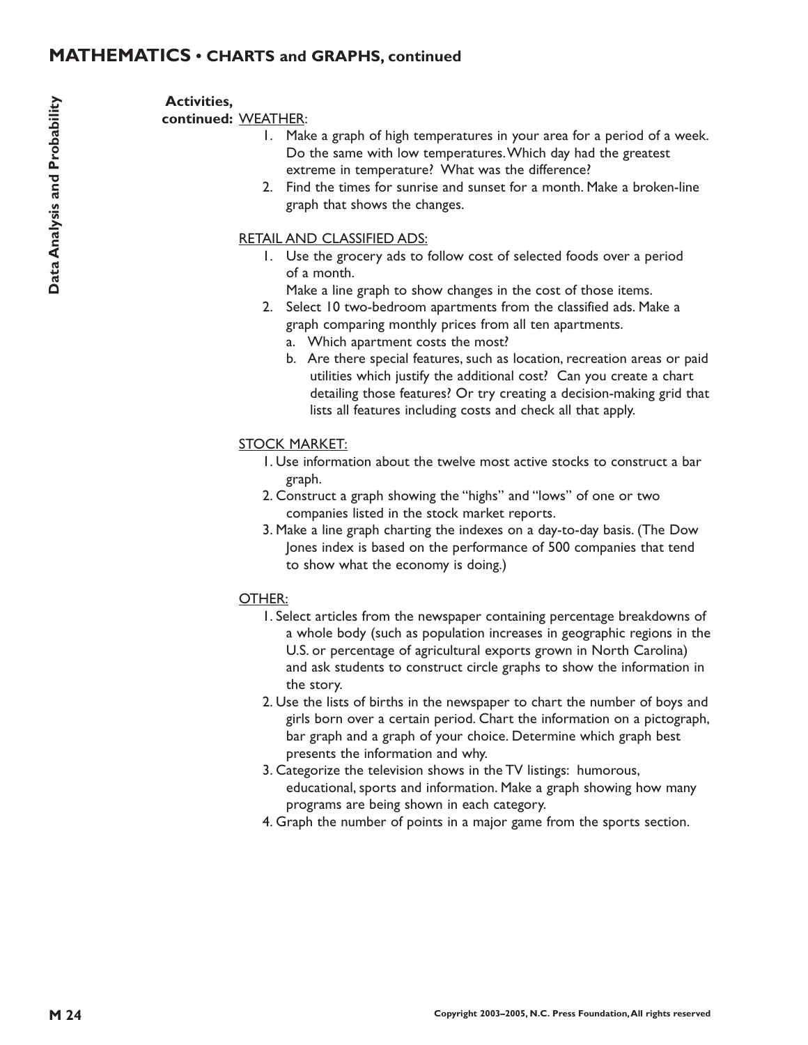#### **Activities,**

continued: WEATHER:

- 1. Make a graph of high temperatures in your area for a period of a week. Do the same with low temperatures.Which day had the greatest extreme in temperature? What was the difference?
- 2. Find the times for sunrise and sunset for a month. Make a broken-line graph that shows the changes.

#### RETAIL AND CLASSIFIED ADS:

- 1. Use the grocery ads to follow cost of selected foods over a period of a month.
	- Make a line graph to show changes in the cost of those items.
- 2. Select 10 two-bedroom apartments from the classified ads. Make a graph comparing monthly prices from all ten apartments.
	- a. Which apartment costs the most?
	- b. Are there special features, such as location, recreation areas or paid utilities which justify the additional cost? Can you create a chart detailing those features? Or try creating a decision-making grid that lists all features including costs and check all that apply.

#### STOCK MARKET:

- 1. Use information about the twelve most active stocks to construct a bar graph.
- 2. Construct a graph showing the "highs" and "lows" of one or two companies listed in the stock market reports.
- 3. Make a line graph charting the indexes on a day-to-day basis. (The Dow Jones index is based on the performance of 500 companies that tend to show what the economy is doing.)

#### OTHER:

- 1. Select articles from the newspaper containing percentage breakdowns of a whole body (such as population increases in geographic regions in the U.S. or percentage of agricultural exports grown in North Carolina) and ask students to construct circle graphs to show the information in the story.
- 2. Use the lists of births in the newspaper to chart the number of boys and girls born over a certain period. Chart the information on a pictograph, bar graph and a graph of your choice. Determine which graph best presents the information and why.
- 3. Categorize the television shows in the TV listings: humorous, educational, sports and information. Make a graph showing how many programs are being shown in each category.
- 4. Graph the number of points in a major game from the sports section.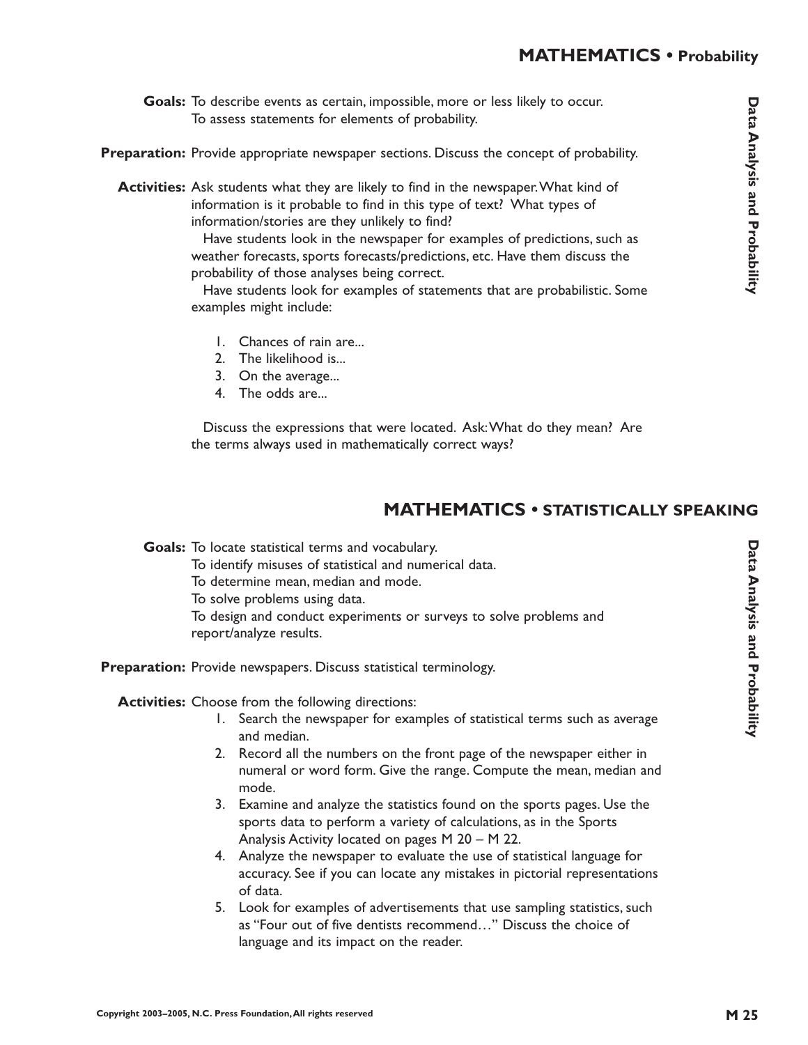- Goals: To describe events as certain, impossible, more or less likely to occur. To assess statements for elements of probability.
- Preparation: Provide appropriate newspaper sections. Discuss the concept of probability.

**Activities:** Ask students what they are likely to find in the newspaper.What kind of information is it probable to find in this type of text? What types of information/stories are they unlikely to find?

> Have students look in the newspaper for examples of predictions, such as weather forecasts, sports forecasts/predictions, etc. Have them discuss the probability of those analyses being correct.

Have students look for examples of statements that are probabilistic. Some examples might include:

- 1. Chances of rain are...
- 2. The likelihood is...
- 3. On the average...
- 4. The odds are...

Discuss the expressions that were located. Ask:What do they mean? Are the terms always used in mathematically correct ways?

# **MATHEMATICS • STATISTICALLY SPEAKING**

Goals: To locate statistical terms and vocabulary.

To identify misuses of statistical and numerical data.

To determine mean, median and mode.

To solve problems using data.

To design and conduct experiments or surveys to solve problems and report/analyze results.

Preparation: Provide newspapers. Discuss statistical terminology.

Activities: Choose from the following directions:

- 1. Search the newspaper for examples of statistical terms such as average and median.
- 2. Record all the numbers on the front page of the newspaper either in numeral or word form. Give the range. Compute the mean, median and mode.
- 3. Examine and analyze the statistics found on the sports pages. Use the sports data to perform a variety of calculations, as in the Sports Analysis Activity located on pages M 20 – M 22.
- 4. Analyze the newspaper to evaluate the use of statistical language for accuracy. See if you can locate any mistakes in pictorial representations of data.
- 5. Look for examples of advertisements that use sampling statistics, such as "Four out of five dentists recommend…" Discuss the choice of language and its impact on the reader.

Data Analysis and Probability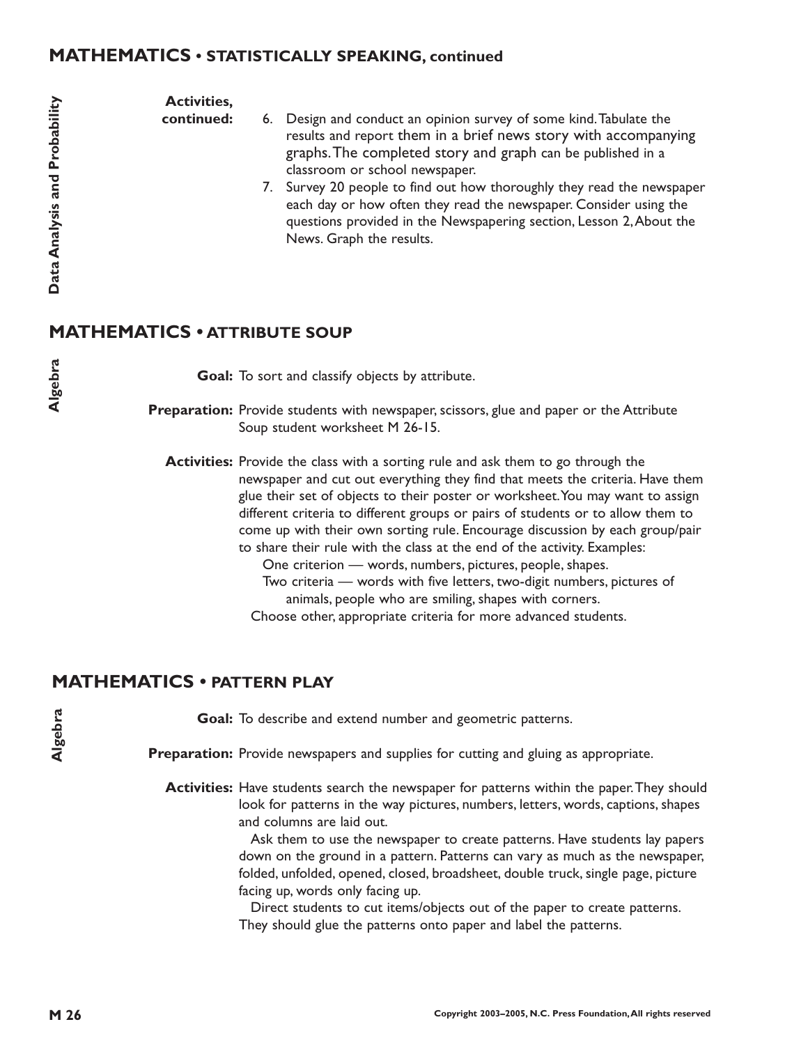#### **MATHEMATICS • STATISTICALLY SPEAKING, continued**

**Activities,**

**continued:**

- 6. Design and conduct an opinion survey of some kind.Tabulate the results and report them in a brief news story with accompanying graphs.The completed story and graph can be published in a classroom or school newspaper.
- 7. Survey 20 people to find out how thoroughly they read the newspaper each day or how often they read the newspaper. Consider using the questions provided in the Newspapering section, Lesson 2,About the News. Graph the results.

# **MATHEMATICS • ATTRIBUTE SOUP**

Goal: To sort and classify objects by attribute.

Preparation: Provide students with newspaper, scissors, glue and paper or the Attribute Soup student worksheet M 26-15.

**Activities:** Provide the class with a sorting rule and ask them to go through the newspaper and cut out everything they find that meets the criteria. Have them glue their set of objects to their poster or worksheet.You may want to assign different criteria to different groups or pairs of students or to allow them to come up with their own sorting rule. Encourage discussion by each group/pair to share their rule with the class at the end of the activity. Examples:

- One criterion words, numbers, pictures, people, shapes. Two criteria — words with five letters, two-digit numbers, pictures of animals, people who are smiling, shapes with corners.
- Choose other, appropriate criteria for more advanced students.

## **MATHEMATICS • PATTERN PLAY**

Goal: To describe and extend number and geometric patterns.

Preparation: Provide newspapers and supplies for cutting and gluing as appropriate.

**Activities:** Have students search the newspaper for patterns within the paper.They should look for patterns in the way pictures, numbers, letters, words, captions, shapes and columns are laid out.

> Ask them to use the newspaper to create patterns. Have students lay papers down on the ground in a pattern. Patterns can vary as much as the newspaper, folded, unfolded, opened, closed, broadsheet, double truck, single page, picture facing up, words only facing up.

Direct students to cut items/objects out of the paper to create patterns. They should glue the patterns onto paper and label the patterns.

**Algebra**

**Algebra**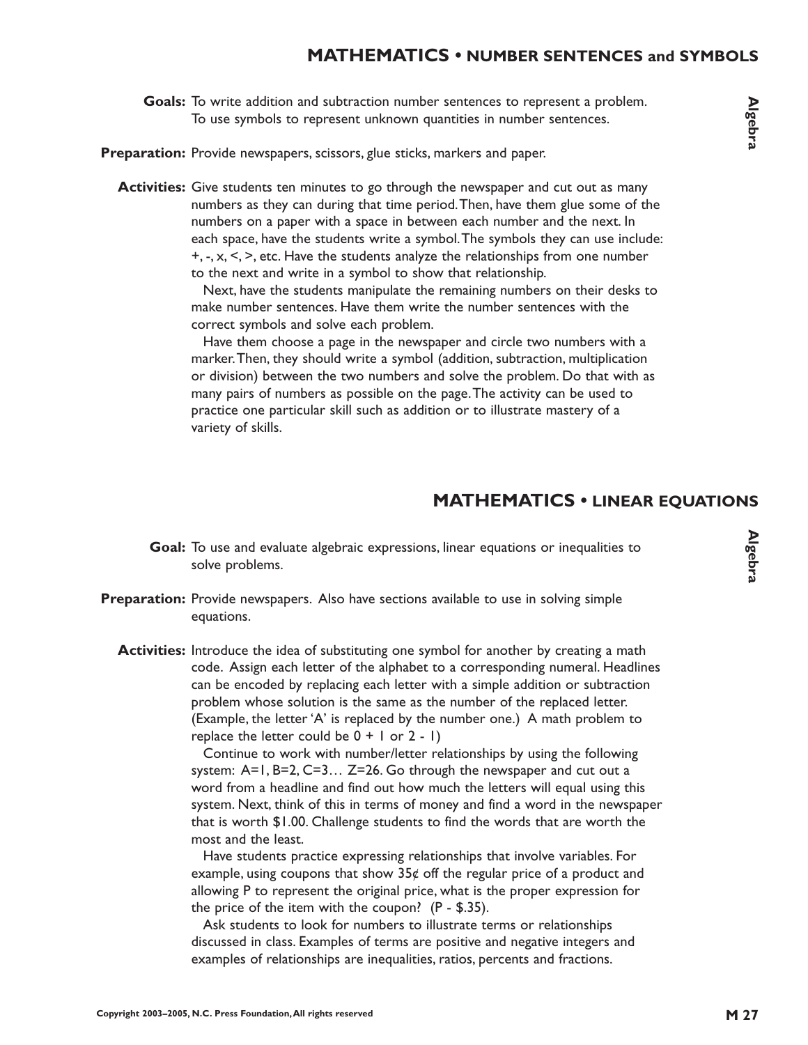### **MATHEMATICS • NUMBER SENTENCES and SYMBOLS**

Goals: To write addition and subtraction number sentences to represent a problem. To use symbols to represent unknown quantities in number sentences.

Preparation: Provide newspapers, scissors, glue sticks, markers and paper.

**Activities:** Give students ten minutes to go through the newspaper and cut out as many numbers as they can during that time period.Then, have them glue some of the numbers on a paper with a space in between each number and the next. In each space, have the students write a symbol.The symbols they can use include:  $+, -, x, \leq, >$ , etc. Have the students analyze the relationships from one number to the next and write in a symbol to show that relationship.

> Next, have the students manipulate the remaining numbers on their desks to make number sentences. Have them write the number sentences with the correct symbols and solve each problem.

> Have them choose a page in the newspaper and circle two numbers with a marker.Then, they should write a symbol (addition, subtraction, multiplication or division) between the two numbers and solve the problem. Do that with as many pairs of numbers as possible on the page.The activity can be used to practice one particular skill such as addition or to illustrate mastery of a variety of skills.

#### **MATHEMATICS • LINEAR EQUATIONS**

- Goal: To use and evaluate algebraic expressions, linear equations or inequalities to solve problems.
- **Preparation:** Provide newspapers. Also have sections available to use in solving simple equations.
	- **Activities:** Introduce the idea of substituting one symbol for another by creating a math code. Assign each letter of the alphabet to a corresponding numeral. Headlines can be encoded by replacing each letter with a simple addition or subtraction problem whose solution is the same as the number of the replaced letter. (Example, the letter 'A' is replaced by the number one.) A math problem to replace the letter could be  $0 + 1$  or  $2 - 1$ )

Continue to work with number/letter relationships by using the following system: A=1, B=2, C=3… Z=26. Go through the newspaper and cut out a word from a headline and find out how much the letters will equal using this system. Next, think of this in terms of money and find a word in the newspaper that is worth \$1.00. Challenge students to find the words that are worth the most and the least.

Have students practice expressing relationships that involve variables. For example, using coupons that show  $35¢$  off the regular price of a product and allowing P to represent the original price, what is the proper expression for the price of the item with the coupon? (P - \$.35).

Ask students to look for numbers to illustrate terms or relationships discussed in class. Examples of terms are positive and negative integers and examples of relationships are inequalities, ratios, percents and fractions.

**Algebra**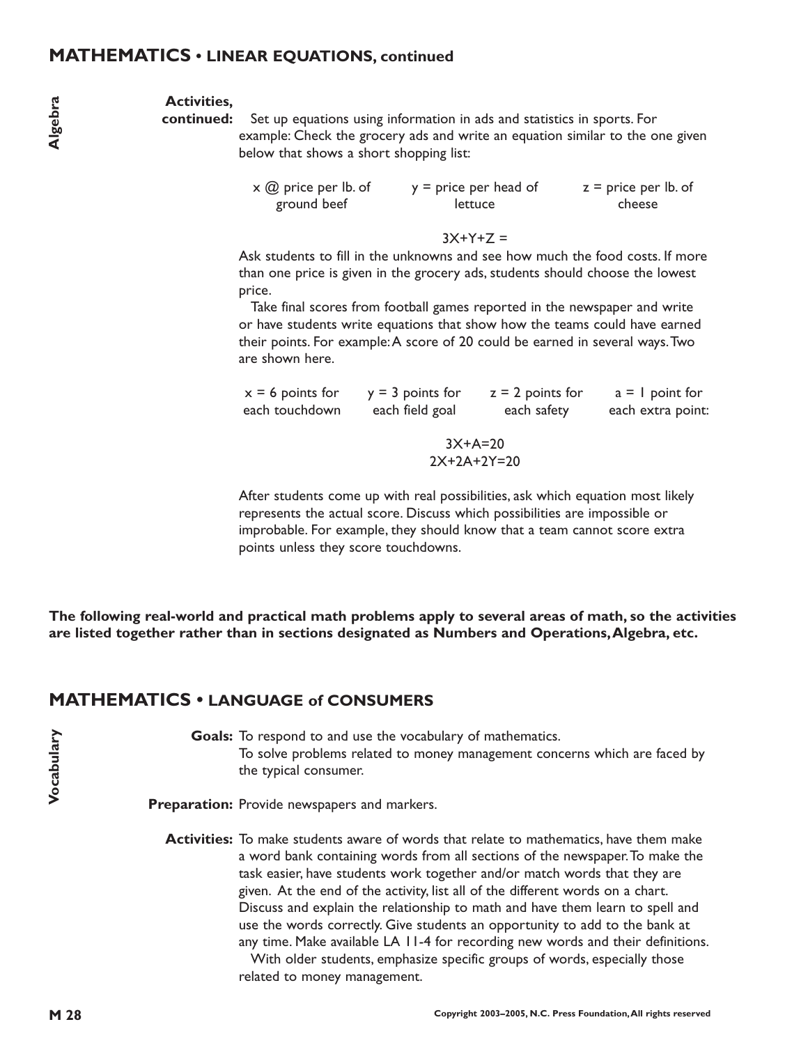#### **MATHEMATICS • LINEAR EQUATIONS, continued**

#### **Activities,**

continued: Set up equations using information in ads and statistics in sports. For example: Check the grocery ads and write an equation similar to the one given below that shows a short shopping list:

> x @ price per lb. of ground beef y = price per head of lettuce  $z =$  price per lb. of cheese

> > $3X+Y+7 =$

Ask students to fill in the unknowns and see how much the food costs. If more than one price is given in the grocery ads, students should choose the lowest price.

Take final scores from football games reported in the newspaper and write or have students write equations that show how the teams could have earned their points. For example:A score of 20 could be earned in several ways.Two are shown here.

| $x = 6$ points for | $y = 3$ points for | $z = 2$ points for | $a = 1$ point for |
|--------------------|--------------------|--------------------|-------------------|
| each touchdown     | each field goal    | each safety        | each extra point: |
|                    | $3X+A=20$          |                    |                   |
|                    | $2X+2A+2Y=20$      |                    |                   |
|                    |                    |                    |                   |

After students come up with real possibilities, ask which equation most likely represents the actual score. Discuss which possibilities are impossible or improbable. For example, they should know that a team cannot score extra points unless they score touchdowns.

**MA**<br>are li<br>**MA**<br>M 28<br>M 28 **The following real-world and practical math problems apply to several areas of math, so the activities are listed together rather than in sections designated as Numbers and Operations,Algebra, etc.**

## **MATHEMATICS • LANGUAGE of CONSUMERS**

Goals: To respond to and use the vocabulary of mathematics. To solve problems related to money management concerns which are faced by the typical consumer.

Preparation: Provide newspapers and markers.

**Activities:** To make students aware of words that relate to mathematics, have them make a word bank containing words from all sections of the newspaper.To make the task easier, have students work together and/or match words that they are given. At the end of the activity, list all of the different words on a chart. Discuss and explain the relationship to math and have them learn to spell and use the words correctly. Give students an opportunity to add to the bank at any time. Make available LA 11-4 for recording new words and their definitions.

> With older students, emphasize specific groups of words, especially those related to money management.

**Vocabulary**

Vocabulary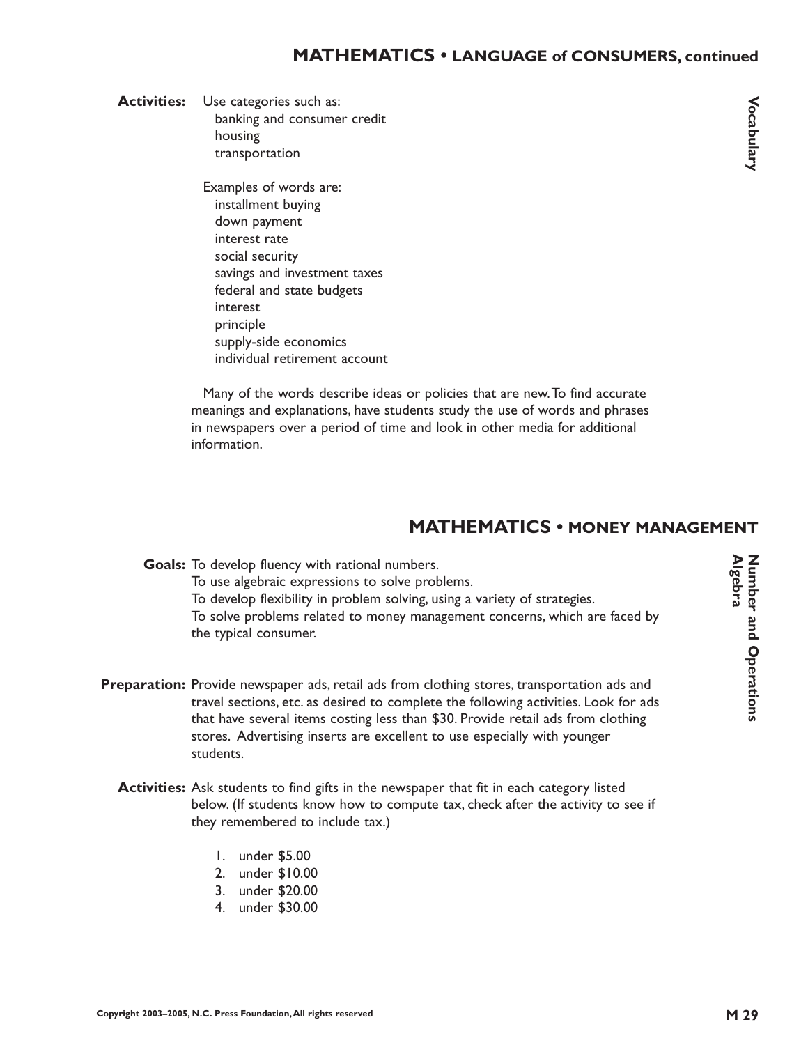Activities: Use categories such as: banking and consumer credit housing transportation

> Examples of words are: installment buying down payment interest rate social security savings and investment taxes federal and state budgets interest principle supply-side economics individual retirement account

Many of the words describe ideas or policies that are new.To find accurate meanings and explanations, have students study the use of words and phrases in newspapers over a period of time and look in other media for additional information.

# **MATHEMATICS • MONEY MANAGEMENT**

Goals: To develop fluency with rational numbers. To use algebraic expressions to solve problems. To develop flexibility in problem solving, using a variety of strategies. To solve problems related to money management concerns, which are faced by the typical consumer.

- Preparation: Provide newspaper ads, retail ads from clothing stores, transportation ads and travel sections, etc. as desired to complete the following activities. Look for ads that have several items costing less than \$30. Provide retail ads from clothing stores. Advertising inserts are excellent to use especially with younger students.
	- **Activities:** Ask students to find gifts in the newspaper that fit in each category listed below. (If students know how to compute tax, check after the activity to see if they remembered to include tax.)
		- 1. under \$5.00
		- 2. under \$10.00
		- 3. under \$20.00
		- 4. under \$30.00

Number and Operations<br>Algebra **Algebra Number and Operations**

**Vocabulary ocabulary**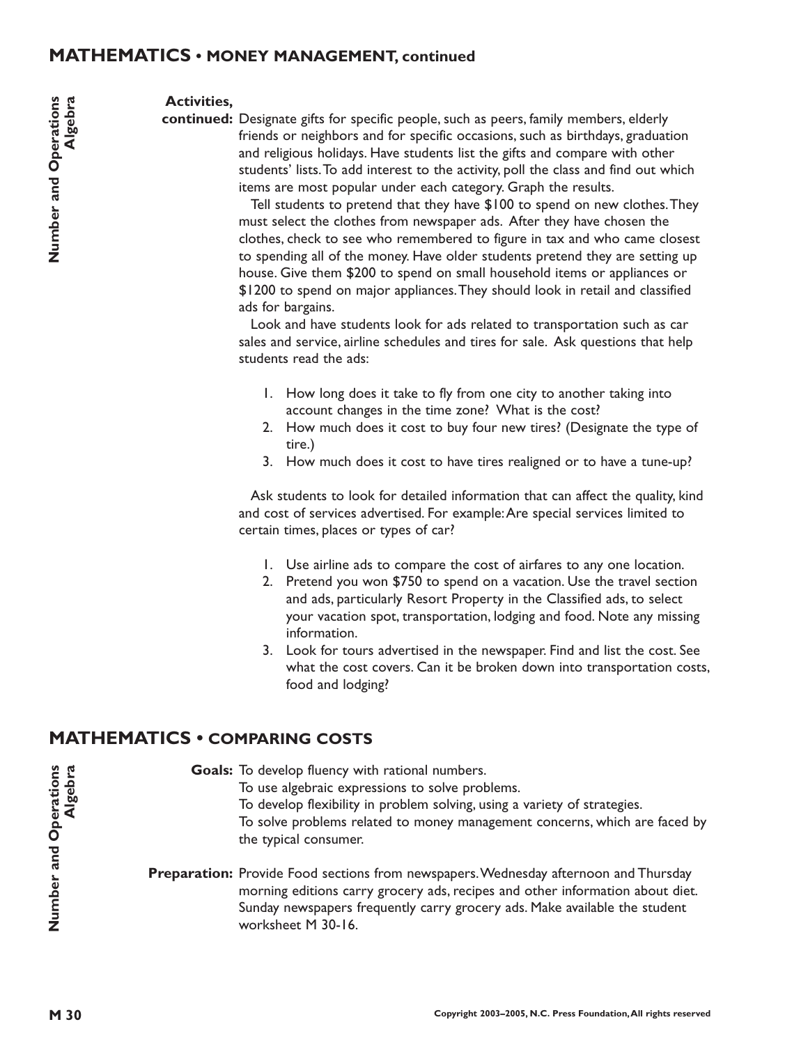#### **MATHEMATICS • MONEY MANAGEMENT, continued**

#### **Activities,**

continued: Designate gifts for specific people, such as peers, family members, elderly friends or neighbors and for specific occasions, such as birthdays, graduation and religious holidays. Have students list the gifts and compare with other students' lists.To add interest to the activity, poll the class and find out which items are most popular under each category. Graph the results.

> Tell students to pretend that they have \$100 to spend on new clothes.They must select the clothes from newspaper ads. After they have chosen the clothes, check to see who remembered to figure in tax and who came closest to spending all of the money. Have older students pretend they are setting up house. Give them \$200 to spend on small household items or appliances or \$1200 to spend on major appliances.They should look in retail and classified ads for bargains.

Look and have students look for ads related to transportation such as car sales and service, airline schedules and tires for sale. Ask questions that help students read the ads:

- 1. How long does it take to fly from one city to another taking into account changes in the time zone? What is the cost?
- 2. How much does it cost to buy four new tires? (Designate the type of tire.)
- 3. How much does it cost to have tires realigned or to have a tune-up?

Ask students to look for detailed information that can affect the quality, kind and cost of services advertised. For example:Are special services limited to certain times, places or types of car?

- 1. Use airline ads to compare the cost of airfares to any one location.
- 2. Pretend you won \$750 to spend on a vacation. Use the travel section and ads, particularly Resort Property in the Classified ads, to select your vacation spot, transportation, lodging and food. Note any missing information.
- 3. Look for tours advertised in the newspaper. Find and list the cost. See what the cost covers. Can it be broken down into transportation costs, food and lodging?

#### **MATHEMATICS • COMPARING COSTS**

Goals: To develop fluency with rational numbers. To use algebraic expressions to solve problems. To develop flexibility in problem solving, using a variety of strategies. To solve problems related to money management concerns, which are faced by the typical consumer.

Preparation: Provide Food sections from newspapers. Wednesday afternoon and Thursday morning editions carry grocery ads, recipes and other information about diet. Sunday newspapers frequently carry grocery ads. Make available the student worksheet M 30-16.

**Number and Operations Algebra**

**Algebra** 

Number and Operations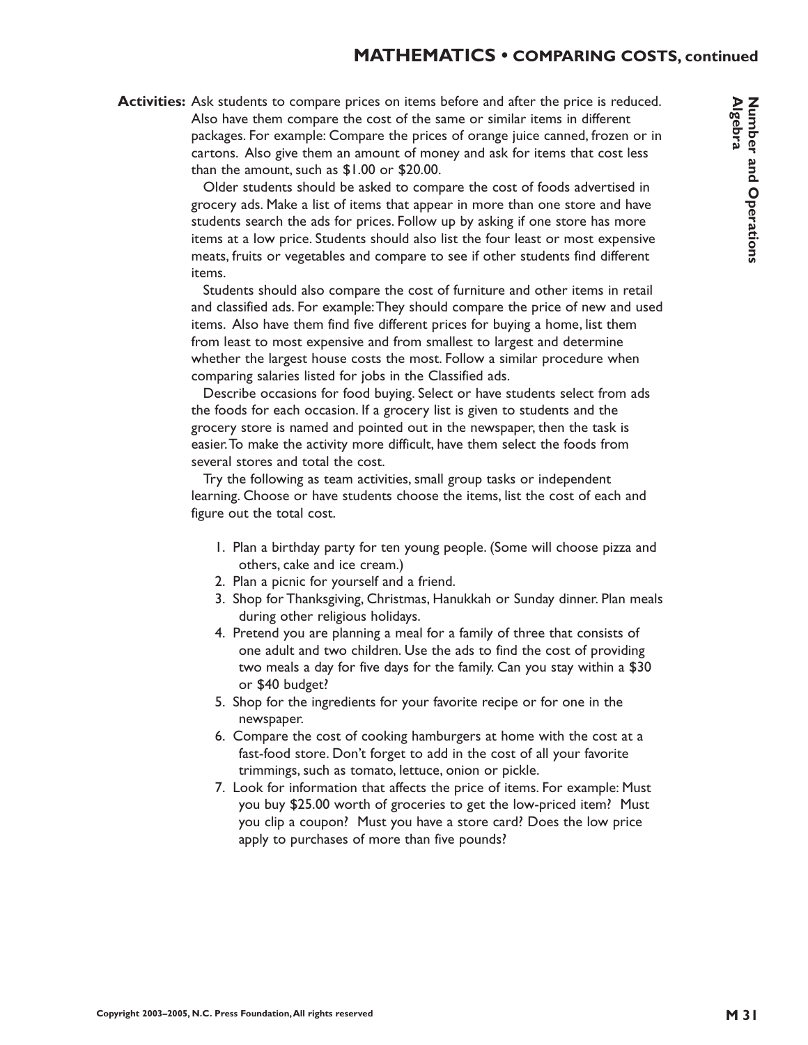## **MATHEMATICS • COMPARING COSTS, continued**

#### Activities: Ask students to compare prices on items before and after the price is reduced. Also have them compare the cost of the same or similar items in different packages. For example: Compare the prices of orange juice canned, frozen or in cartons. Also give them an amount of money and ask for items that cost less than the amount, such as \$1.00 or \$20.00.

Older students should be asked to compare the cost of foods advertised in grocery ads. Make a list of items that appear in more than one store and have students search the ads for prices. Follow up by asking if one store has more items at a low price. Students should also list the four least or most expensive meats, fruits or vegetables and compare to see if other students find different items.

Students should also compare the cost of furniture and other items in retail and classified ads. For example:They should compare the price of new and used items. Also have them find five different prices for buying a home, list them from least to most expensive and from smallest to largest and determine whether the largest house costs the most. Follow a similar procedure when comparing salaries listed for jobs in the Classified ads.

Describe occasions for food buying. Select or have students select from ads the foods for each occasion. If a grocery list is given to students and the grocery store is named and pointed out in the newspaper, then the task is easier.To make the activity more difficult, have them select the foods from several stores and total the cost.

Try the following as team activities, small group tasks or independent learning. Choose or have students choose the items, list the cost of each and figure out the total cost.

- 1. Plan a birthday party for ten young people. (Some will choose pizza and others, cake and ice cream.)
- 2. Plan a picnic for yourself and a friend.
- 3. Shop for Thanksgiving, Christmas, Hanukkah or Sunday dinner. Plan meals during other religious holidays.
- 4. Pretend you are planning a meal for a family of three that consists of one adult and two children. Use the ads to find the cost of providing two meals a day for five days for the family. Can you stay within a \$30 or \$40 budget?
- 5. Shop for the ingredients for your favorite recipe or for one in the newspaper.
- 6. Compare the cost of cooking hamburgers at home with the cost at a fast-food store. Don't forget to add in the cost of all your favorite trimmings, such as tomato, lettuce, onion or pickle.
- 7. Look for information that affects the price of items. For example: Must you buy \$25.00 worth of groceries to get the low-priced item? Must you clip a coupon? Must you have a store card? Does the low price apply to purchases of more than five pounds?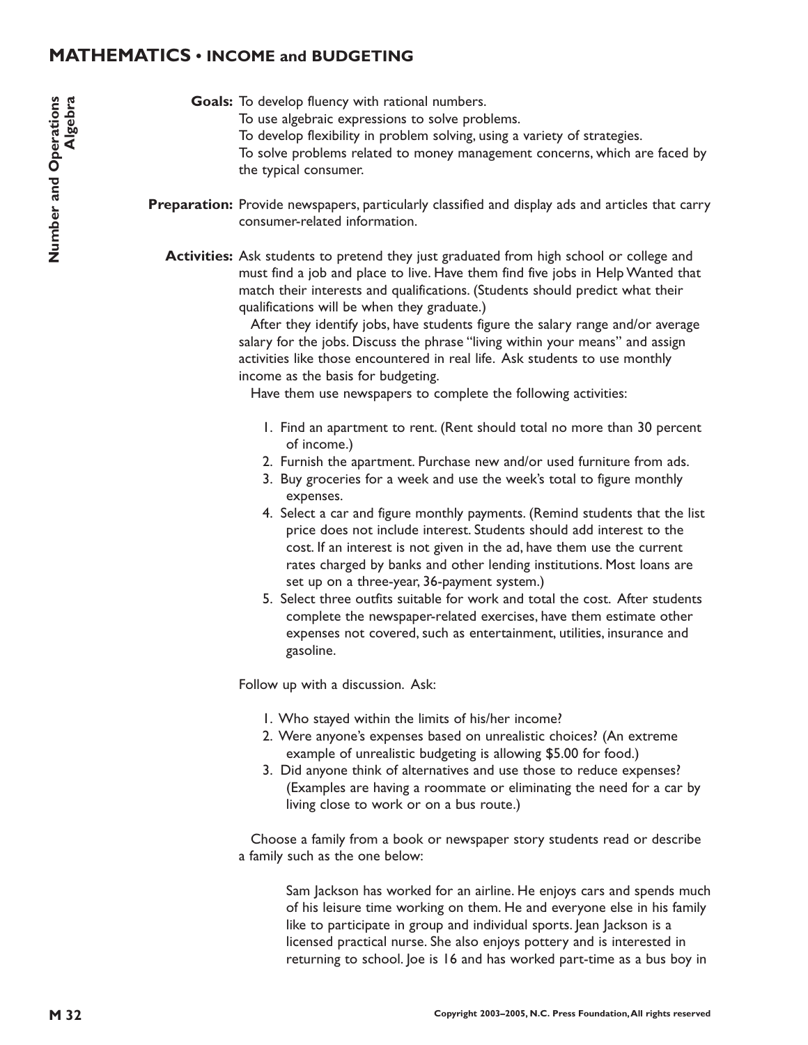## **MATHEMATICS • INCOME and BUDGETING**

Goals: To develop fluency with rational numbers.

- To use algebraic expressions to solve problems.
- To develop flexibility in problem solving, using a variety of strategies.

To solve problems related to money management concerns, which are faced by the typical consumer.

- Preparation: Provide newspapers, particularly classified and display ads and articles that carry consumer-related information.
	- **Activities:** Ask students to pretend they just graduated from high school or college and must find a job and place to live. Have them find five jobs in Help Wanted that match their interests and qualifications. (Students should predict what their qualifications will be when they graduate.)

After they identify jobs, have students figure the salary range and/or average salary for the jobs. Discuss the phrase "living within your means" and assign activities like those encountered in real life. Ask students to use monthly income as the basis for budgeting.

Have them use newspapers to complete the following activities:

- 1. Find an apartment to rent. (Rent should total no more than 30 percent of income.)
- 2. Furnish the apartment. Purchase new and/or used furniture from ads.
- 3. Buy groceries for a week and use the week's total to figure monthly expenses.
- 4. Select a car and figure monthly payments. (Remind students that the list price does not include interest. Students should add interest to the cost. If an interest is not given in the ad, have them use the current rates charged by banks and other lending institutions. Most loans are set up on a three-year, 36-payment system.)
- 5. Select three outfits suitable for work and total the cost. After students complete the newspaper-related exercises, have them estimate other expenses not covered, such as entertainment, utilities, insurance and gasoline.

Follow up with a discussion. Ask:

- 1. Who stayed within the limits of his/her income?
- 2. Were anyone's expenses based on unrealistic choices? (An extreme example of unrealistic budgeting is allowing \$5.00 for food.)
- 3. Did anyone think of alternatives and use those to reduce expenses? (Examples are having a roommate or eliminating the need for a car by living close to work or on a bus route.)

Choose a family from a book or newspaper story students read or describe a family such as the one below:

Sam Jackson has worked for an airline. He enjoys cars and spends much of his leisure time working on them. He and everyone else in his family like to participate in group and individual sports. Jean Jackson is a licensed practical nurse. She also enjoys pottery and is interested in returning to school. Joe is 16 and has worked part-time as a bus boy in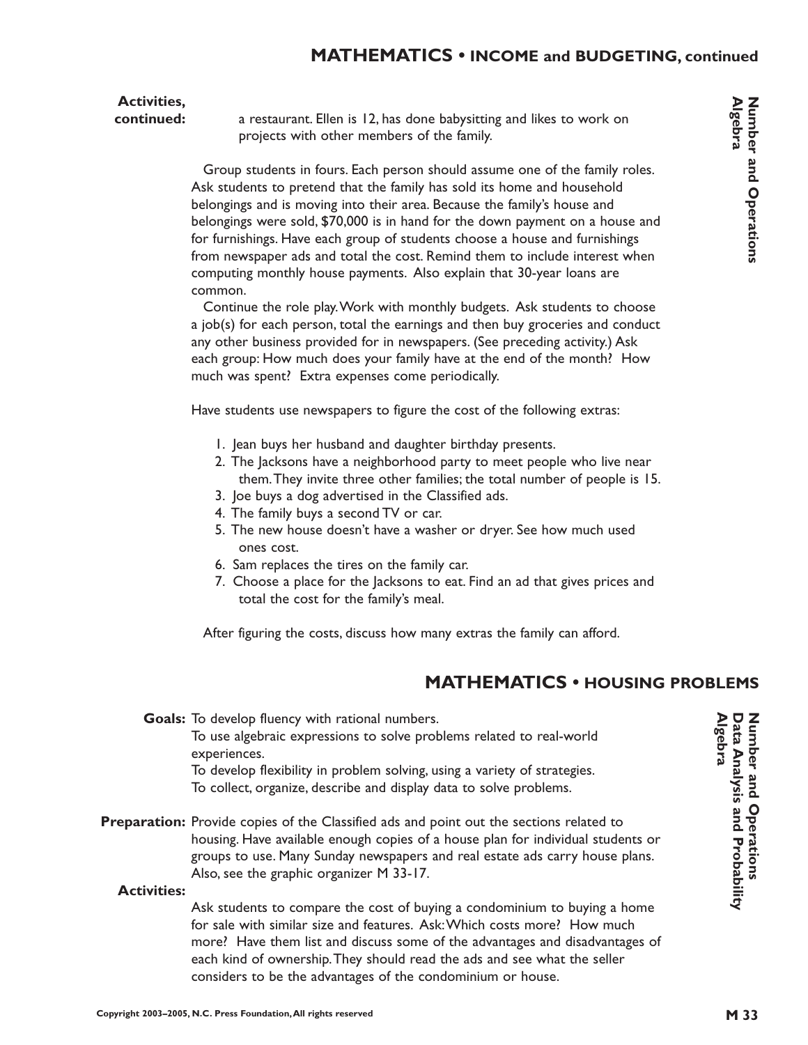# **Activities,**

**continued:**

a restaurant. Ellen is 12, has done babysitting and likes to work on projects with other members of the family.

Group students in fours. Each person should assume one of the family roles. Ask students to pretend that the family has sold its home and household belongings and is moving into their area. Because the family's house and belongings were sold, \$70,000 is in hand for the down payment on a house and for furnishings. Have each group of students choose a house and furnishings from newspaper ads and total the cost. Remind them to include interest when computing monthly house payments. Also explain that 30-year loans are common.

Continue the role play.Work with monthly budgets. Ask students to choose a job(s) for each person, total the earnings and then buy groceries and conduct any other business provided for in newspapers. (See preceding activity.) Ask each group: How much does your family have at the end of the month? How much was spent? Extra expenses come periodically.

Have students use newspapers to figure the cost of the following extras:

- 1. Jean buys her husband and daughter birthday presents.
- 2. The Jacksons have a neighborhood party to meet people who live near them.They invite three other families; the total number of people is 15.
- 3. Joe buys a dog advertised in the Classified ads.
- 4. The family buys a second TV or car.
- 5. The new house doesn't have a washer or dryer. See how much used ones cost.
- 6. Sam replaces the tires on the family car.
- 7. Choose a place for the Jacksons to eat. Find an ad that gives prices and total the cost for the family's meal.

After figuring the costs, discuss how many extras the family can afford.

# **MATHEMATICS • HOUSING PROBLEMS**

Goals: To develop fluency with rational numbers. To use algebraic expressions to solve problems related to real-world experiences. To develop flexibility in problem solving, using a variety of strategies.

To collect, organize, describe and display data to solve problems.

Preparation: Provide copies of the Classified ads and point out the sections related to housing. Have available enough copies of a house plan for individual students or groups to use. Many Sunday newspapers and real estate ads carry house plans. Also, see the graphic organizer M 33-17.

#### **Activities:**

Ask students to compare the cost of buying a condominium to buying a home for sale with similar size and features. Ask:Which costs more? How much more? Have them list and discuss some of the advantages and disadvantages of each kind of ownership.They should read the ads and see what the seller considers to be the advantages of the condominium or house.

Number and Operations<br>Algebra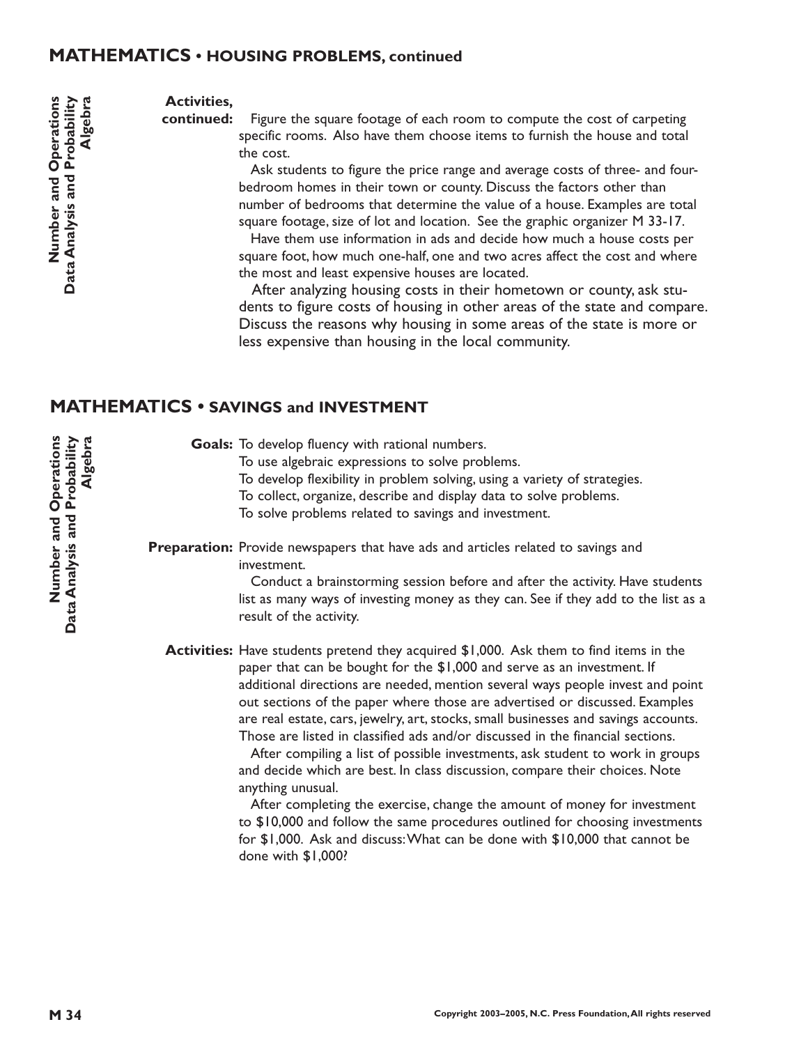#### **MATHEMATICS • HOUSING PROBLEMS, continued**

#### **Activities,**

Figure the square footage of each room to compute the cost of carpeting specific rooms. Also have them choose items to furnish the house and total the cost. **continued:**

> Ask students to figure the price range and average costs of three- and fourbedroom homes in their town or county. Discuss the factors other than number of bedrooms that determine the value of a house. Examples are total square footage, size of lot and location. See the graphic organizer M 33-17.

> Have them use information in ads and decide how much a house costs per square foot, how much one-half, one and two acres affect the cost and where the most and least expensive houses are located.

After analyzing housing costs in their hometown or county, ask students to figure costs of housing in other areas of the state and compare. Discuss the reasons why housing in some areas of the state is more or less expensive than housing in the local community.

## **MATHEMATICS • SAVINGS and INVESTMENT**

Goals: To develop fluency with rational numbers. To use algebraic expressions to solve problems. To develop flexibility in problem solving, using a variety of strategies. To collect, organize, describe and display data to solve problems. To solve problems related to savings and investment.

Preparation: Provide newspapers that have ads and articles related to savings and investment.

> Conduct a brainstorming session before and after the activity. Have students list as many ways of investing money as they can. See if they add to the list as a result of the activity.

**Activities:** Have students pretend they acquired \$1,000. Ask them to find items in the paper that can be bought for the \$1,000 and serve as an investment. If additional directions are needed, mention several ways people invest and point out sections of the paper where those are advertised or discussed. Examples are real estate, cars, jewelry, art, stocks, small businesses and savings accounts. Those are listed in classified ads and/or discussed in the financial sections.

> After compiling a list of possible investments, ask student to work in groups and decide which are best. In class discussion, compare their choices. Note anything unusual.

> After completing the exercise, change the amount of money for investment to \$10,000 and follow the same procedures outlined for choosing investments for \$1,000. Ask and discuss:What can be done with \$10,000 that cannot be done with \$1,000?

Number and Operations<br>Data Analysis and Probability

**Algebra** 

**Copyright 2003–2005, N.C. Press Foundation,All rights reserved**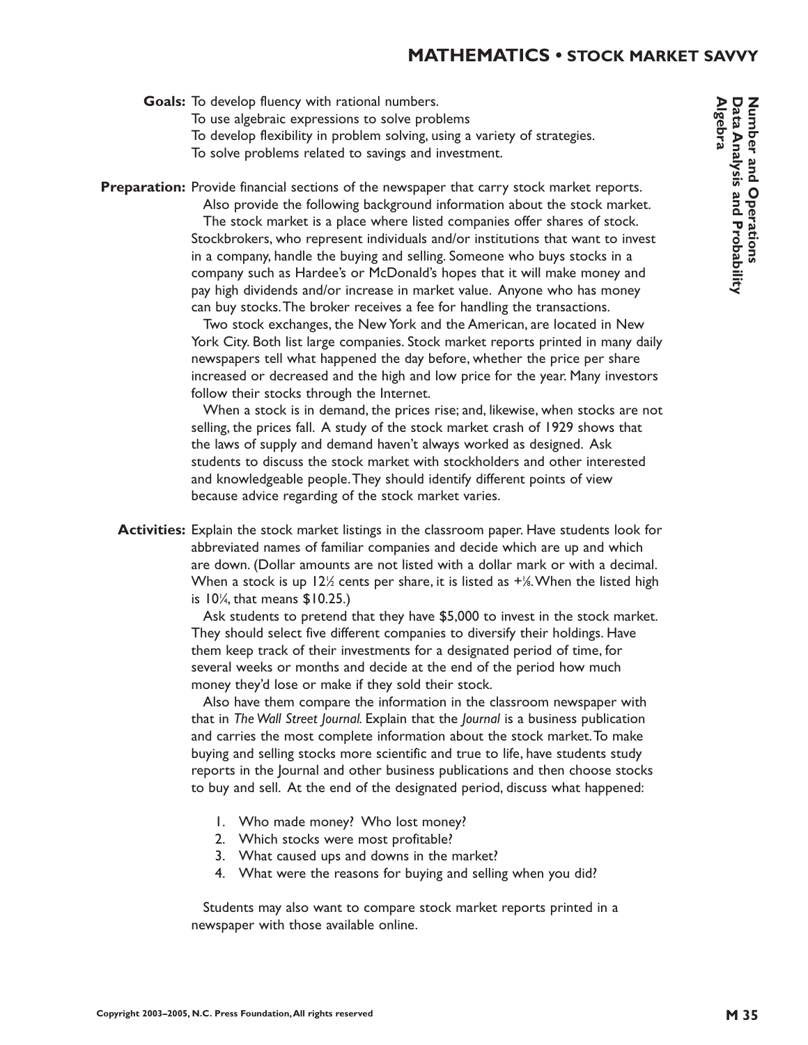#### **MATHEMATICS • STOCK MARKET SAVVY**

Goals: To develop fluency with rational numbers.

- To use algebraic expressions to solve problems
- To develop flexibility in problem solving, using a variety of strategies.
- To solve problems related to savings and investment.

Preparation: Provide financial sections of the newspaper that carry stock market reports.

Also provide the following background information about the stock market. The stock market is a place where listed companies offer shares of stock. Stockbrokers, who represent individuals and/or institutions that want to invest in a company, handle the buying and selling. Someone who buys stocks in a company such as Hardee's or McDonald's hopes that it will make money and pay high dividends and/or increase in market value. Anyone who has money can buy stocks.The broker receives a fee for handling the transactions.

Two stock exchanges, the New York and the American, are located in New York City. Both list large companies. Stock market reports printed in many daily newspapers tell what happened the day before, whether the price per share increased or decreased and the high and low price for the year. Many investors follow their stocks through the Internet.

When a stock is in demand, the prices rise; and, likewise, when stocks are not selling, the prices fall. A study of the stock market crash of 1929 shows that the laws of supply and demand haven't always worked as designed. Ask students to discuss the stock market with stockholders and other interested and knowledgeable people.They should identify different points of view because advice regarding of the stock market varies.

**Activities:** Explain the stock market listings in the classroom paper. Have students look for abbreviated names of familiar companies and decide which are up and which are down. (Dollar amounts are not listed with a dollar mark or with a decimal. When a stock is up 12½ cents per share, it is listed as +½.When the listed high is  $10\%$ , that means  $$10.25$ .)

> Ask students to pretend that they have \$5,000 to invest in the stock market. They should select five different companies to diversify their holdings. Have them keep track of their investments for a designated period of time, for several weeks or months and decide at the end of the period how much money they'd lose or make if they sold their stock.

Also have them compare the information in the classroom newspaper with that in *The Wall Street Journal.* Explain that the *Journal* is a business publication and carries the most complete information about the stock market.To make buying and selling stocks more scientific and true to life, have students study reports in the Journal and other business publications and then choose stocks to buy and sell. At the end of the designated period, discuss what happened:

- 1. Who made money? Who lost money?
- 2. Which stocks were most profitable?
- 3. What caused ups and downs in the market?
- 4. What were the reasons for buying and selling when you did?

Students may also want to compare stock market reports printed in a newspaper with those available online.